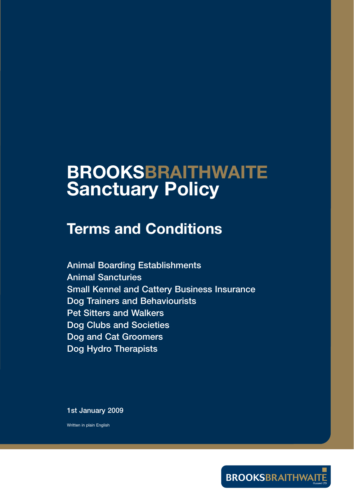# **BROOKSBRAITHWAITE Sanctuary Policy**

# **Terms and Conditions**

**Animal Boarding Establishments Animal Sancturies Small Kennel and Cattery Business Insurance Dog Trainers and Behaviourists Pet Sitters and Walkers Dog Clubs and Societies Dog and Cat Groomers Dog Hydro Therapists**

**1st January 2009**

Written in plain English

**BROOKSBRAITHWAIT**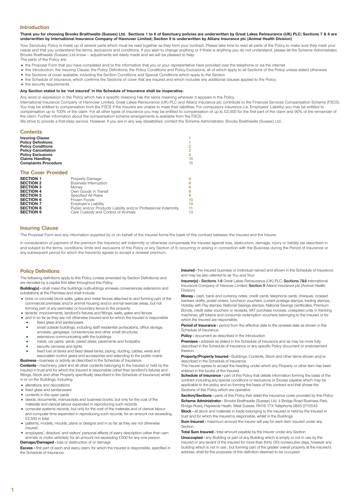#### **Introduction**

**Thank you for choosing Brooks Braithwaite (Sussex) Ltd. Sections 1 to 6 of Sanctuary policies are underwritten by Great Lakes Reinsurance (UK) PLC; Sections 7 & 8 are underwritten by International Insurance Company of Hannover Limited; Section 9 is underwritten by Allianz Insurance plc (Animal Health Division)**

Your Sanctuary Policy is made up of several parts which must be read together as they form your contract. Please take time to read all parts of the Policy to make sure they meet your needs and that you understand the terms, exclusions and conditions. If you wish to change anything or if there is anything you do not understand, please let the Scheme Administrator, Brooks Braithwaite (Sussex) Ltd know – adjustments are easily made and we will be pleased to help. The parts of the Policy are:

- the Proposal Form that you have completed and/or the information that you or your representative have provided over the telephone or via the internet
- this Introduction; the Insuring Clause; the Policy Definitions; the Policy Conditions and Policy Exclusions, all of which apply to all Sections of the Policy unless stated otherwise
- the Sections of cover available, including the Section Conditions and Special Conditions which apply to the Section
- the Schedule of Insurance, which confirms the Sections of cover that are insured and which includes any additional clauses applied to the Policy
- the security requirements.

#### **Any Section stated to be 'not insured' in the Schedule of Insurance shall be inoperative.**

Any word or expression in the Policy which has a specific meaning has the same meaning wherever it appears in the Policy.

International Insurance Company of Hannover Limited, Great Lakes Reinsurance (UK) PLC and Allianz Insurance plc contribute to the Financial Services Compensation Scheme (FSCS). You may be entitled to compensation from the FSCS if the Insurers are unable to meet their liabilities. For compulsory insurance (i.e. Employers' Liability) you may be entitled to compensation up to 100% of the claim. For all other types of insurance you may be entitled to compensation of up to £2,000 for the first part of the claim and 90% of the remainder of the claim. Further information about the compensation scheme arrangements is available from the FSCS.

We strive to provide a first-class service. However, if you are in any way dissatisfied, contact the Scheme Administrator, Brooks Braithwaite (Sussex) Ltd.

| <b>Contents</b><br><b>Insuring Clause</b><br><b>Policy Definitions</b><br><b>Policy Conditions</b><br><b>Policy Cancellation</b><br><b>Policy Exclusions</b><br><b>Claims Handling</b><br><b>Complaints Procedure</b> |                                                                                                                                                                                                                                                          | $\overline{c}$<br>$\overline{2}$<br>3<br>15<br>15 |
|-----------------------------------------------------------------------------------------------------------------------------------------------------------------------------------------------------------------------|----------------------------------------------------------------------------------------------------------------------------------------------------------------------------------------------------------------------------------------------------------|---------------------------------------------------|
| <b>The Cover Provided</b>                                                                                                                                                                                             |                                                                                                                                                                                                                                                          |                                                   |
| <b>SECTION 1</b><br><b>SECTION 2</b><br><b>SECTION 3</b><br><b>SECTION 4</b><br><b>SECTION 5</b><br><b>SECTION 6</b><br><b>SECTION 7</b><br><b>SECTION 8</b><br><b>SECTION 9</b>                                      | Property Damage<br><b>Business Interruption</b><br>Monev<br>Own Goods in Transit<br>Specified All Risks<br>Frozen Foods<br>Employer's Liability<br>Public and/or Products Liability and/or Professional Indemnity<br>Care Custody and Control of Animals | 4<br>6<br>8<br>9<br>9<br>10<br>10<br>11<br>13     |

#### **Insuring Clause**

The Proposal Form and any information supplied by or on behalf of the Insured forms the basis of this contract between the Insured and the Insurer.

In consideration of payment of the premium the Insurer(s) will indemnify or otherwise compensate the Insured against loss, destruction, damage, injury or liability (as described in and subject to the terms, conditions, limits and exclusions of this Policy or any Section of it) occurring or arising in connection with the Business during the Period of Insurance or any subsequent period for which the Insurer(s) agrees to accept a renewal premium.

### **Policy Definitions**

The following definitions apply to this Policy (unless amended by Section Definitions) and are denoted by a capital first letter throughout this Policy.

**Building(s) -** shall mean the buildings outbuildings annexes conveniences extensions and substations at the Premises and shall include

- brick or concrete block walls, gates and metal fences attached to and forming part of the commercial premises and/or animal housing and/or animal exercise areas, but not forming part of any perimeter or boundary fence to the property
- tenants' improvements, landlord's fixtures and fittings, walls, gates and fences
- and in so far as they are not otherwise insured and for which the Insured is responsible
	- fixed glass and sanitaryware small outside buildings, including staff residential portacabins, office storage,
	- annexes, gangways, conveniences and other small structures extensions communicating with the buildings
	- roads, car parks, yards, paved areas, pavements and footpaths
	- security cameras and lights
	- fixed fuel oil tanks and fixed diesel tanks, piping, ducting, cables, wires and

associated control gears and accessories and extending to the public mains

**Business -** business or activity as described in the Schedule of Insurance. **Contents -** machinery, plant and all other contents belonging to the Insured or held by the Insured in trust and for which the Insured is responsible (other than landlord's fixtures and fittings, Stock and other Property specifically described in the Schedule of Insurance) whilst

- in or on the Buildings, including
- alterations and decorations
- fixed glass and sanitaryware
- contents in the open yards
- deeds, documents, manuscripts and business books, but only for the cost of the materials and clerical labour expended in reproducing such records
- computer systems records, but only for the cost of the materials and of clerical labour and computer time expended in reproducing such records, for an amount not exceeding £2,500 in total
- patterns, models, moulds, plans or designs and in so far as they are not otherwise insured
- employees', directors' and visitors' personal effects of every description (other than own animals or motor vehicles), for an amount not exceeding £500 for any one person. **Damage/Damaged -** loss or destruction of or damage

**Excess -** first part of each and every claim, for which the Insured is responsible, specified in the Schedule of Insurance.

**Insured -** the insured business or individual named and shown in the Schedule of Insurance and may be also referred to as You and Your

**Insurer(s) - Sections 1-6** Great Lakes Reinsurance (UK) PLC; **Sections 7&8** International Insurance Company of Hanover Limited; **Section 9** Allianz Insurance plc (Animal Health Division)

**Money -** cash, bank and currency notes, credit cards, telephone cards, cheques, crossed bankers drafts, postal orders, luncheon vouchers, current postage stamps, trading stamps, , Holiday with Pay stamps, National Savings stamps, National Savings certificates, Premium Bonds, credit sales vouchers or receipts, VAT purchase invoices, unexpired units in franking machines, gift tokens and consumer redemption vouchers belonging to the Insured or for which the Insured are responsible.

**Period of Insurance -** period from the effective date to the renewal date as shown in the Schedule of Insurance.

**Policy -** document as described in the Introduction

**Premises -** address as stated in the Schedule of Insurance and as may be more fully described in the Schedule of Insurance or any specific Policy document or endorsement thereon.

**Property/Property Insured -** Buildings, Contents, Stock and other items shown and/or described in the Schedule of Insurance.

The Insurer agrees to accept the heading under which any Property or other item has been entered in the books of the Insured.

**Schedule of Insurance -** part of this Policy that details information forming the basis of the contract including any special conditions or exclusions or Excess payable which may be applicable to the policy and so forming the basis of this contract and that shows the Sections of this Policy which are operative

**Section/Sections - parts of this Policy that detail the insurance cover provided by this Policy Scheme Administrator -** Brooks Braithwaite (Sussex) Ltd, 4 Bridge Road Business Park, Bridge Road, Haywards Heath, West Sussex, RH16 1TX Telephone 0845 0710543

**Stock - all stock and materials in trade belonging to the Insured or held by the Insured in** trust and for which the Insured is responsible, whilst in the Buildings

**Sum Insured -** maximum amount the Insurer will nay for each item insured under any Section

**Total Sum Insured -** total amount payable by the Insurer under any Section **Unoccupied -** any Building or part of any Building which is empty or not in use by the Insured or any tenant of the Insured for more than thirty (30) consecutive days, however any building which is not in use , but forming part of the greater overall property at the Insured's address, shall for the purposes of this definition deemed to be occupied.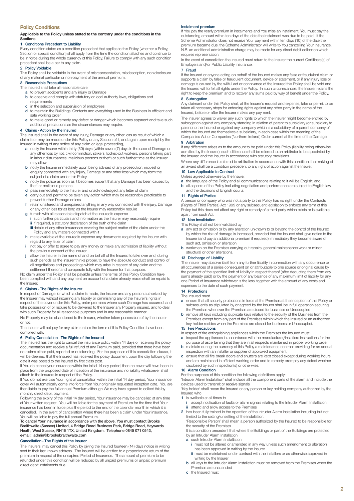#### **Policy Conditions**

#### **Applicable to the Policy unless stated to the contrary under the conditions in the Sections**

#### **1 Conditions Precedent to Liability**

Every condition stated as a condition precedent that applies to this Policy (whether a Policy, Section or special condition) shall apply from the time the condition attaches and continue to be in force during the whole currency of this Policy. Failure to comply with any such condition precedent shall be a bar to any claim.

#### **2 Policy Voidable**

This Policy shall be voidable in the event of misrepresentation, misdescription, non-disclosure of any material particular or non-payment of the annual premium.

#### **3 Reasonable Precautions**

- The Insured shall take all reasonable care
	- **a** to prevent accidents and any injury or Damage **b** to observe and comply with statutory or local authority laws, obligations and
	- requirements **c** in the selection and supervision of employees
	- **d** to maintain the Buildings, Contents and everything used in the Business in efficient and safe working order
	- **e** to make good or remedy any defect or danger which becomes apparent and take such additional precautions as the circumstances may require.

#### **4 Claims - Action by the Insured**

The Insured shall in the event of any injury, Damage or any other loss as result of which a claim is or may be made under this Policy or any Section of it, and again upon receipt by the Insured in writing of any notice of any claim or legal proceeding,

- **a** notify the Insurer within thirty (30) days (within seven (7) days in the case of Damage or any other loss by riot, civil commotion, strikers, locked-out workers, persons taking part in labour disturbances, malicious persons or theft) or such further time as the Insurer may allow
- **b** notify the Insurer immediately upon being advised of any prosecution, inquest or enquiry connected with any injury, Damage or any other loss which may form the subject of a claim under this Policy
- **c** notify the police as soon as it becomes evident that any Damage has been caused by theft or malicious persons
- **d** pass immediately to the Insurer and unacknowledged, any letter of claim
- **e** carry out and permit to be taken any action which may be reasonably practicable to prevent further Damage or loss
- **f** retain unaltered and unrepaired anything in any way connected with the injury, Damage or any other loss for as long as the Insurer may reasonably require
- **g** furnish with all reasonable dispatch at the Insured's expense
- **i** such further particulars and information as the Insurer may reasonably require **ii** if required, a statutory declaration of the truth of the claim **iii** details of any other insurances covering the subject matter of the claim under this
- Policy and any matters connected with it **h** make available at the Insured's expense any documents required by the Insurer with
- regard to any letter of claim **i** not pay or offer to agree to pay any money or make any admission of liability without
- the previous consent of the Insurer **j** allow the Insurer in the name of and on behalf of the Insured to take over and, during such periods as the Insurer thinks proper, to have the absolute conduct and control of all negotiations and proceedings which may arise in respect of any claim and the settlement thereof and co-operate fully with the Insurer for that purpose.

No claim under this Policy shall be payable unless the terms of this Policy Condition have been complied with and any payment on account of a claim already made shall be repaid to the Insurer.

#### **5 Claims - The Rights of the Insurer**

In respect of Damage for which a claim is made, the Insurer and any person authorized by the Insurer may without incurring any liability or diminishing any of the Insurer's rights in respect of the cover under this Policy, enter premises where such Damage has occurred, and take possession of or require to be delivered to the Insurer any Property insured, and to deal with such Property for all reasonable purposes and in any reasonable manner.

No Property may be abandoned to the Insurer, whether taken possession of by the Insurer or not.

The Insurer will not pay for any claim unless the terms of this Policy Condition have been complied with.

#### **6 Policy Cancellation - The Rights of the Insured**

The Insured has the right to cancel the insurance policy within 14 days of receiving the policy documentation and receive a full refund of any Premium paid, provided that there have been no claims either paid, reported or outstanding. For the purposes of this cancellation clause, it will be deemed that the Insured has received the policy document upon the day following the date it was posted to the Insured by first class post.

If You do cancel your insurance within the initial 14 day period, then no cover will have been in place from the proposed date of inception of the insurance and no liability whatsoever shall attach to the Insurers in respect of the Policy.

If You do not exercise Your right of cancellation within the initial 14 day period, Your insurance cover will automatically come into force from Your originally requested inception date. You are then liable to pay the full annual Premium although We may have agreed to collect this by monthly direct debit payment.

Following the expiry of the initial 14 day period, Your insurance may be cancelled at any time at Your written request. You will be liable for the payment of Premium for the time that Your insurance has been in force plus the period to the end of the calendar month in which it is cancelled. In the event of cancellation where there has been a claim under Your insurance, You will be liable to pay the full annual Premium.

**To cancel Your insurance in accordance with the above, You must contact Brooks Braithwaite (Sussex) Limited, 4 Bridge Road Business Park, Bridge Road, Haywards Heath, West Sussex, RH16 1TX, United Kingdom. Telephone 0845 071 0543, e-mail: admin@brooksbraithwaite.com**

### **Cancellation - The Rights of the Insurer**

The Insurers' may cancel this Policy by giving the Insured fourteen (14) days notice in writing sent to their last known address. The Insured will be entitled to a proportionate return of the premium in respect of the unexpired Period of Insurance. The amount of premium to be refunded under this condition will be reduced by all unpaid premiums or unpaid premium direct debit instalments due.

#### **Instalment premium**

If You pay the yearly premium in instalments and You miss an instalment, You must pay the outstanding amount within ten days of the date the instalment was due to be paid. If the Scheme Administrator does not receive Your payment within ten days (10) of the date the premium became due, the Scheme Administrator will write to You cancelling Your insurance. N.B. an additional administration charge may be made for any direct debit collection which requires representation.

In the event of cancellation the Insured must return to the Insurer the current Certificate(s) of Employers and/or Public Liability Insurance.

#### **7 Fraud**

If the Insured or anyone acting on behalf of the Insured makes any false or fraudulent claim or supports a claim by false or fraudulent document, device or statement, or if any injury loss or damage is caused by the willful act or connivance of the Insured this Policy shall be void and the Insured will forfeit all rights under the Policy. In such circumstances, the Insurer retains the right to keep the premium and to recover any sums paid by way of benefit under the Policy.

#### **8 Subrogation**

Any claimant under this Policy shall, at the Insurer's request and expense, take or permit to be taken all necessary steps for enforcing rights against any other party in the name of the Insured, before or after the Insurer makes any payment.

The Insurer agrees to waiver any such rights to which the Insurer might become entitled by subrogation against any company standing in relation of parent to subsidiary (or subsidiary to parent) to the Insured or against any company which is a subsidiary of a parent company of which the Insured are themselves a subsidiary, in each case within the meaning of the Companies Act or Companies (Northern Ireland) Order current at the time of the Damage.

#### **9 Arbitration**

If any difference arises as to the amount to be paid under this Policy (liability being otherwise admitted by the Insurer), such difference shall be referred to an arbitrator to be appointed by the Insured and the Insurer in accordance with statutory provisions.

Where any difference is referred to arbitration in accordance with this condition, the making of an award shall be a condition precedent to any right of action against the Insurer.

### **10 Law Applicable to Contract**

- Unless agreed otherwise by the Insurer: **a** the language of the Policy and all communications relating to it will be English; and,
- **b** all aspects of the Policy including negotiation and performance are subject to English law and the decisions of English courts.

#### **11 Rights of Parties**

A person or company who was not a party to this Policy has no right under the Contracts (Rights of Third Parties) Act 1999 or any subsequent legislation to enforce any term of this Policy but this does not affect any right or remedy of a third party which exists or is available apart from such Act.

#### **12 Non Invalidation**

This Policy shall not be invalidated by

- **a** any act or omission or by any alteration unknown to or beyond the control of the Insured by which the risk of damage is increased, provided that the Insured shall give notice to the Insurer (and pay an additional premium if required) immediately they become aware of such act, omission or alteration
- **b** workmen on the Premises carrying out repairs, general maintenance work or minor structural or other alterations.

#### **13 Discharge of Liability**

The Insurer may absolve itself from any further liability in connection with any occurrence or all occurrences of a series consequent on or attributable to one source or original cause by the payment of the specified limit of liability in respect thereof (after deducting there from any sums already paid) or by the payment of any balance of any maximum limit of liability for any one Period of Insurance whichever is the less, together with the amount of any costs and expenses to the date of such payment.

#### **14 Protections**

The Insured must

- **a** ensure that all security protections in force at the Premises at the inception of this Policy or subsequently as stipulated by or agreed by the Insurer shall be in full operation securing the Premises whenever the Premises are closed for business or Unoccupied
- **b** remove all keys including duplicate keys relative to the security of the Business from the Premises except from any part of the Premises within which the Insured or an authorized key holder resides when the Premises are closed for business or Unoccupied.

#### **15 Fire Precautions**

- In respect of fire extinguishing appliances within the Premises the Insured must
- **a** inspect the appliances in accordance with the manufacturer/installers instructions for the purpose of ascertaining that they are in all respects maintained in proper working order
- **b** maintain during the currency of this Policy a maintenance contract providing for an annual inspection with an installer or supplier of approved equipment
- **c** ensure that all fire break doors and shutters are kept closed except during working hours and are maintained in efficient working order and to remedy promptly any defect whether disclosed by such inspection(s) or otherwise.

#### **16 Alarm Condition**

For the purposes of this condition the following definitions apply:

'Intruder Alarm Installation' shall include all the component parts of the alarm and include the devices used to transmit or receive signals

'Key holder' shall mean the Insured or any person or key holding company authorized by the Insured who

- **1** is available at all times to
- **i** accept notification of faults or alarm signals relating to the Intruder Alarm Installation<br> **ii** attend and allow access to the Premises attend and allow access to the Premise
- **2** has been fully trained in the operation of the Intruder Alarm Installation including but not limited to the setting/unsetting of the installation.

'Responsible Person' shall mean a person authorized by the Insured to be responsible for the security of the Premises

It is a condition precedent that where the Buildings or part of the Buildings are protected by an Intruder Alarm Installation

- **a** such Intruder Alarm Installation
	- **i** must not be altered or amended in any way unless such amendment or alteration has been approved in writing by the Insurer
	- **ii** must be maintained under contract with the installers or as otherwise approved in writing by the Insurer
- **b** all keys to the Intruder Alarm Installation must be removed from the Premises when the Premises are unattended
- **c** the Insured must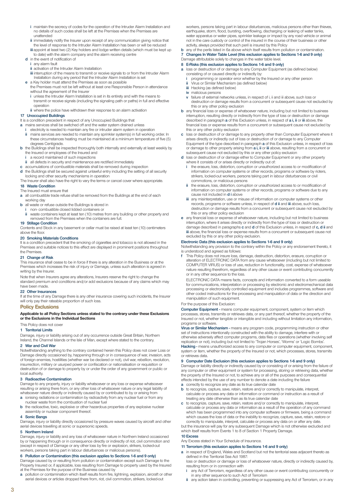- **i** maintain the secrecy of codes for the operation of the Intruder Alarm Installation and no details of such codes shall be left at the Premises when the Premises are unattended
- **ii** immediately notify the Insurer upon receipt of any communication giving notice that the level of response to the Intruder Alarm Installation has been or will be reduced **iii** appoint at least two (2) Key holders and lodge written details (which must be kept up
- to date) with the alarm company and the alarm receiving centre **d** in the event of notification of
	- **i** any alarm fault
	- **ii** activation of the Intruder Alarm Installation
	- **iii** interruption of the means to transmit or receive signals to or from the Intruder Alarm Installation during any period that the Intruder Alarm Installation is set
- **e** a Key holder must attend the Premises as soon as possible the Premises must not be left without at least one Responsible Person in attendance without the agreement of the Insurer
	- **i** unless the Intruder Alarm Installation is set in its entirety and with the means to transmit or receive signals (including the signaling path or paths) in full and effective operation
	- **ii** where the police have withdrawn their response to an alarm activation

### **17 Unoccupied Buildings**

It is a condition precedent in respect of any Unoccupied Buildings that

- **a** mains services shall be switched off and the water system drained unless
- **i** electricity is needed to maintain any fire or intruder alarm system in operation **ii** mains services are needed to maintain any sprinkler system(s) in full working order. In these circumstances heating must be maintained at a minimum temperature of five (5) degrees Centigrade.
- **b** the Buildings shall be inspected thoroughly both internally and externally at least weekly by the Insured or employees of the Insured and **i** a record maintained of such inspections
	-
	- **ii** all defects in security and maintenance are rectified immediately
- **c** accumulations of combustible materials shall be removed during inspection<br>**d** the Buildings shall be secured against unlawful entry including the setting of the Buildings shall be secured against unlawful entry including the setting of all security
- locking and other security mechanisms in operation The Insurer shall also have the right to vary the terms or cancel cover where appropriate.

#### **18 Waste Condition**

#### The Insured must ensure that

- **a** all combustible trade refuse shall be removed from the Buildings at the end of each working day
- **b** all waste or refuse outside the Buildings is stored in
	- **i** non- combustible closed lidded containers or<br>**ii** waste containers kent at least ten (10) metres
	- **ii** waste containers kept at least ten (10) metres from any building or other property and removed from the Premises when the containers are full.

#### **19 Stillage Condition**

Contents and Stock in any basement or cellar must be raised at least ten (10) centimeters above the floor.

#### **20 Smoking Materials Conditions**

It is a condition precedent that the smoking of cigarettes and tobacco is not allowed in the Premises and suitable notices to this effect are displayed in prominent positions throughout the Premises.

### **21 Change of Risk**

This insurance shall cease to be in force if there is any alteration in the Business or at the Premises which increases the risk of injury or Damage, unless such alteration is agreed in writing by the Insurer.

Note that when Insurers agree any alterations, Insurers reserve the right to change the standard premium and conditions and/or add exclusions because of any claims which may have been made.

#### **22 Other Insurances**

If at the time of any Damage there is any other insurance covering such incidents, the Insurer will only pay their rateable proportion of such loss.

#### **Policy Exclusions**

#### **Applicable to all Policy Sections unless stated to the contrary under these Exclusions or the Exclusions in the Individual Sections**

#### This Policy does not cover

**1 Territorial Limits**

Damage, injury or liability arising out of any occurrence outside Great Britain, Northern Ireland, the Channel Islands or the Isle of Man, except where stated to the contrary.

#### **2 War and Civil War**

Notwithstanding anything to the contrary contained herein this Policy does not cover Loss or Damage directly occasioned by, happening through or in consequence of war, invasion, acts of foreign enemies, hostilities (whether war be declared or not), civil war, rebellion, revolution, insurrection, military or usurped power or confiscation or nationalisation or requisition or destruction of or damage to property by or under the order of any government or public or local authority.

#### **3 Radioactive Contamination**

Damage to any property, injury or liability whatsoever or any loss or expense whatsoever resulting or arising there from, or any other loss of whatsoever nature or any legal liability of whatsoever nature directly or indirectly caused by or contributed to by or arising from

- **a** ionising radiations or contamination by radioactivity from any nuclear fuel or from any nuclear waste from the combustion of nuclear fuel
- **b** the radioactive, toxic, explosive or other hazardous properties of any explosive nuclear assembly or nuclear component thereof.

### **4 Sonic Bangs**

Damage, injury or liability directly occasioned by pressure waves caused by aircraft and other aerial devices travelling at sonic or supersonic speeds.

#### **5 Northern Ireland**

Damage, injury or liability and any loss of whatsoever nature in Northern Ireland occasioned by or happening through or in consequence directly or indirectly of riot, civil commotion and (except in respect of Damage or any other loss by fire or explosion, strikers, locked-out workers, persons taking part in labour disturbances or malicious persons).

#### **6 Pollution or Contamination (this exclusion applies to Sections 1-6 and 9 only)**

Damage caused by or resulting from pollution or contamination except such Damage to the Property Insured or, if applicable, loss resulting from Damage to property used by the Insured at the Premises for the purpose of the Business caused by

**a** pollution or contamination which itself results from fire, lightning, explosion, aircraft or other aerial devices or articles dropped there from, riot, civil commotion, strikers, locked-out

workers, persons taking part in labour disturbances, malicious persons other than thieves, earthquake, storm, flood, bursting, overflowing, discharging or leaking of water tanks, water apparatus or water pipes, sprinkler leakage or impact by any road vehicle or animal not in the care custody or control of the insured in the course of their business or other activity, always provided that such peril is insured by this Policy

- **b** any of the perils listed in 6a above which itself results from pollution or contamination.<br>**7** Channes In Water Table Level (this exclusion applies to Sections 1-6 and 9 only)
- **7 Changes In Water Table Level (this exclusion applies to Sections 1-6 and 9 only)**
- Damage attributable solely to changes in the water table level. **8 E-Risks (this exclusion applies to Sections 1-6 and 9 only)**
- **a** loss or destruction of or damage to any Computer Equipment (as defined below) consisting of or caused directly or indirectly by:
	- **i** programming or operator error whether by the Insured or any other person<br>**i** Vinus or Similar Mechanism (as defined below) **ii** Virus or Similar Mechanism (as defined below)
	- **iii** Hacking (as defined below)
	- **iv** malicious persons
	- **v** failure of external networks unless, in respect of i, ii and iii above, such loss or destruction or damage results from a concurrent or subsequent cause not excluded by this or any other policy exclusion
- **b** any financial loss or expense of whatsoever nature, including but not limited to business interruption, resulting directly or indirectly from the type of loss or destruction or damage described in paragraph **a** of this Exclusion unless, in respect of **a i, ii** or **iii** above, the financial loss or expense results from a concurrent or subsequent cause not excluded by this or any other policy exclusion
- **c** loss or destruction of or damage to any property other than Computer Equipment where it arises directly or indirectly out of loss or destruction of or damage to any Computer Equipment of the type described in paragraph **a** of this Exclusion unless, in respect of loss or damage to other property arising from **a i, ii** or **iii** above, resulting from a concurrent or
- subsequent cause not excluded by this or any other policy exclusion **d** loss or destruction of or damage either to Computer Equipment or any other property where it consists of or arises directly or indirectly out of:
	- **i** the erasure, loss, distortion, corruption or unauthorized access to or modification of information on computer systems or other records, programs or software by rioters, strikers, locked-out workers, persons taking part in labour disturbances or civil commotions, or malicious persons
	- **ii** the erasure, loss, distortion, corruption or unauthorized access to or modification of information on computer systems or other records, programs or software due to any cause not included in **d i** above
	- **iii** any misinterpretation, use or misuse of information on computer systems or other records, programs or software unless, in respect of **d ii** and **iii** above, such loss, destruction or damage results from a concurrent or subsequent cause not excluded by this or any other policy exclusion
- **e** any financial loss or expense of whatsoever nature, including but not limited to business interruption, where it arises directly or indirectly from the type of loss or destruction or damage described in paragraphs **c** and **d** of this Exclusion unless, in respect of **c, d ii** and **iii** above, the financial loss or expense results from a concurrent or subsequent cause not excluded by this or any other policy exclusion.

#### **Electronic Data (this exclusion applies to Sections 1-6 and 9 only)**

Notwithstanding any provision to the contrary within the Policy or any endorsement thereto, it is understood and agreed as follows:

- **f** This Policy does not insure loss, damage, destruction, distortion, erasure, corruption or alteration of ELECTRONIC DATA from any cause whatsoever (including but not limited to COMPUTER VIRUS) or loss of use, reduction in functionality, cost, expense of whatsoever nature resulting therefrom, regardless of any other cause or event contributing concurrently or in any other sequence to the loss.
- ELECTRONIC DATA means facts, concepts and information converted to a form useable for communications, interpretation or processing by electronic and electromechanical data processing or electronically controlled equipment and includes programmes, software and other coded instructions for the processing and manipulation of data or the direction and manipulation of such equipment.

#### For the purpose of this Exclusion:

**Computer Equipment -** means computer equipment, component, system or item which processes, stores, transmits or retrieves data, or any part thereof, whether the property of the Insured or not, whether tangible or intangible and including without limitation any information, programs or software.

**Virus or Similar Mechanism -** means any program code, programming instruction or other set of instructions intentionally constructed with the ability to damage, interfere with or otherwise adversely affect computer programs, data files or operations (whether involving self replication or not), including but not limited to 'Trojan Horses', 'Worms' or 'Logic Bombs'.

**Hacking -** means unauthorized access to any computer or computer equipment, component, system or item, whether the property of the Insured or not, which processes, stores, transmits or retrieves data.

#### **9 Computer Date Exclusion (this exclusion applies to Sections 1-6 and 9 only)**

Damage or liability directly or indirectly caused by or consisting of or arising from the failure of any computer or other equipment or system for processing, storing or retrieving data, whether the property of the Insured or not, to achieve any or all of the purposes and consequential effects intended by the use of any number to denote a date including the failure

- **a** correctly to recognize any date as its true calendar date
- **b** to recognize, capture, save, retain, restore and/or correctly to manipulate, interpret, calculate or process any data or information or command or instruction as a result of treating any date otherwise than as its true calendar date
- **c** to recognize, capture, save, retain, restore and/or correctly to manipulate, interpret, calculate or process any data or information as a result of the operation of any command which has been programmed into any computer software or firmware, being a command which causes the loss of data or the inability to recognize, capture, save, retain, restore or

correctly to manipulate, interpret, calculate or process any data on or after any date. but the insurance will pay for any subsequent Damage which is not otherwise excluded and which itself results from Events 1 to 8 of Section 1 Property Damage.

#### **10 Excess**

Any Excess stated in Your Schedule of Insurance.

**11 Terrorism (this exclusion applies to Sections 1-6 and 9 only)**

- **a** in respect of England, Wales and Scotland but not the territorial seas adjacent thereto as defined in the Territorial Sea Act 1987:
	- loss or destruction or damage or loss of whatsoever nature, directly or indirectly caused by, resulting from or in connection with
	- **i** any Act of Terrorism, regardless of any other cause or event contributing concurrently or in any other sequence to such Act of Terrorism
	- **ii** any action taken in controlling, preventing or suppressing any Act of Terrorism, or in any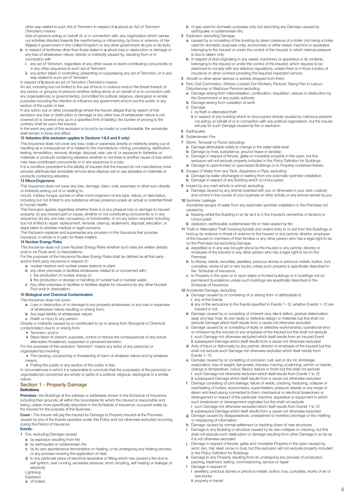other way related to such Act of Terrorism In respect of **a** above an Act of Terrorism (Terrorism) means:-

Acts of persons acting on behalf of, or in connection with, any organization which carries out activities directed towards the overthrowing or influencing, by force or violence, of Her Majesty's government in the United Kingdom or any other government de jure or de facto.

- **b** in respect of territories other than those stated in **a** above loss or destruction or damage or any loss of whatsoever nature, directly or indirectly caused by, resulting from or in connection with
	- **i** any act of Terrorism, regardless of any other cause or event contributing concurrently or in any other sequence to such act of Terrorism
	- **ii** any action taken in controlling, preventing or suppressing any act of Terrorism, or in any way related to such act of Terrorism

In respect of **b** above an act of Terrorism (Terrorism) means:-

An act, including but not limited to the use of force or violence and/or the threat thereof, of any person or group(s) of persons whether acting alone or on behalf of or in connection with any organisation(s) or government(s), committed for political, religious, ideological or similar purposes including the intention to influence any government and/or put the public or any section of the public in fear.

In any action suit or other proceedings where the Insurer alleges that by reason of this exclusion any loss or destruction or damage or any other loss of whatsoever nature is not covered (or is covered only up to a specified limit of liability), the burden of proving to the contrary shall be upon the Insured.

In the event any part of this exclusion is found to be invalid or unenforceable, the remainder shall remain in force and effect.

#### **12 Asbestos (this exclusion applies to Sections 1-6,8 and 9 only)**

This Insurance does not cover any loss, costs or expenses directly or indirectly arising out of, resulting as a consequence of or related to the manufacture, mining, processing, distribution, testing, remediation, removal, storage, disposal, sale, use of, or exposure to Asbestos or materials or products containing asbestos whether or not there is another cause of loss which

may have contributed concurrently or in any sequence to a loss. It is a condition precedent to the liability of insurers that the Insured do not manufacture mine

process distribute test remediate remove store dispose sell or use asbestos or materials or products containing asbestos.

### **13 Micro-Organisms**

This Insurance does not cover any loss, damage, claim, cost, expenses or other sum directly or indirectly arising out of or relating to:

mould, mildew, fungus, spores or other micro-organism of any type, nature, or description, including but not limited to any substance whose presence poses an actual or potential threat to human health.

This Exclusion applies regardless whether there is (i) any physical loss or damage to insured property; (ii) any insured peril or cause, whether or not contributing concurrently or in any sequence; (iii) any one loss; occupancy; or functionality; or (iv) any action required, including but not limited to repair, replacement, removal, cleanup, abatement, disposal, relocation, or

steps taken to address medical or legal concerns. This Exclusion replaces and supersedes any provision in this Insurance that provides

insurance, in whole or in part, for these matters.

### **14 Nuclear Energy Risks**

This Insurance does not cover Nuclear Energy Risks whether such risks are written directly and/or via Pools and/ or Associations.

For the purposes of the Insurance Nuclear Energy Risks shall be defined as all first party and/or third party insurance in respect of:- **a** nuclear reactors and nuclear power stations or plant.

- **b** any other premises or facilities whatsoever related to or concerned with:**i** the production of nuclear energy or,
	- **ii** the production or storage or handling of nuclear fuel or nuclear waste.
- **c** Any other premises or facilities or facilities eligible for insurance by any other Nuclear Pool and/or Association.

#### **15 Biological and Chemical Contamination**

#### This Insurance does not cover:

- **a** Loss or destruction of or damage to any property whatsoever, or any loss or expenses of whatsoever nature resulting or arising from;
- **b** Any legal liability of whatsoever nature;
- **c** Death or injury to any person;

Directly or indirectly caused by or contributed to by or arising from Biological or Chemical contamination due to or arising from;

• Terrorism: and/or

• Steps taken to prevent, suppress, control or reduce the consequences of any actual attempted, threatened, suspected or perceived terrorism.

For the purposes of this exclusion "terrorism" means any act(s) of any person(s) or organisation(s) involving:

• The causing, occasioning or threatening of harm of whatever nature and by whatever means;

• Putting the public or any section of the public in fear; In circumstances in which it is reasonable to conclude that the purpose(s) of the person(s) or organisation(s) concerned are wholly or partly of a political, religious, ideological or a similar nature.

#### **Section 1 - Property Damage Definitions**

Premises - the Buildings at the address or addresses shown in the Schedule of Insurance, including their grounds, all within the boundaries for which the Insured is responsible and being, unless more specifically described in the Schedule of Insurance, occupied solely by the Insured for the purpose of the Business.

**Cover -** The Insurer will pay the Insured for Damage to Property Insured at the Premises caused by any of the Events operative under this Policy and not otherwise excluded occurring during the Period of Insurance.

#### **Events -**

- **1** Fire, excluding Damage caused
	- **a** by explosion resulting from fire
	- **b** by earthquake or subterranean fire
	- **c** by its own spontaneous fermentation or heating, or its undergoing any heating process or any process involving the application of heat
	- **d** to any particular piece of electrical apparatus or fitting which has caused a fire due to self ignition, over running, excessive pressure, short circuiting, self heating or leakage of electricity

- **a** of boilers
- 
- **b** of gas used for domestic purposes only, but excluding any Damage caused by earthquake or subterranean fire.
- **2** Explosion, excluding Damage
	- **a** caused by or consisting of the bursting by steam pressure of a boiler (not being a boiler used for domestic purposes only), economiser or other vessel, machine or apparatus belonging to the Insured or under the control of the Insured, in which internal pressure is due to steam only
	- **b** in respect of and originating in any vessel, machinery or apparatus or its contents, belonging to the Insured or under the control of the Insured, which requires to be examined to comply with any statutory regulations, unless there is in force a policy of insurance or other contract providing the required inspection service.
- **3** Aircraft or other aerial devices or articles dropped from them.
- **4** Riot, Civil Commotion, Strikers, Locked Out Workers, Persons Taking Part in Labour Disturbances or Malicious Persons excluding:
	- **a** Damage arising from nationalisation, confiscation, requisition, seizure or destruction by the Government or any public authority
	- **b** Damage arising from cessation of work
	- **c** Damage
	- **i** by theft or attempted theft

**ii** in respect of any building which is Unoccupied directly caused by malicious persons not acting on behalf of or in connection with any political organisation, but the Insurer will pay for such Damage caused by fire or explosion

### **5** Earthquake.

- **6** Subterranean Fire.
- **7** Storm, Tempest or Flood, excluding:
	- **a** Damage attributable solely to change in the water table level<br>**b** Damage by frost, subsidence, ground heave or landslip
	- **b** Damage by frost, subsidence, ground heave or landslip
	- **c** Damage in respect of fences, gates or moveable property in the open, but this exclusion will not exclude property included in the Policy Definition for Buildings **d** Damage to open-fronted or open-sided Buildings or to Property contained therein.
- 
- **8** Escape of Water from any Tank, Apparatus or Pipe, excluding: **a** Damage by water discharged or leaking from any automatic sprinkler installation **b** Damage in respect of any Building which is Unoccupied.
- **9** Impact by any road vehicle or animal, excluding:

**a** Damage caused by any animal boarded with you or otherwise in your care, custody and control in the course of your business or other activity or any animal owned by you **10** Sprinkler Leakage

- Accidental escape of water from any automatic sprinkler installation in the Premises not caused by
- **a** freezing whilst the Building in so far as it is in the Insured's ownership or tenancy is Unoccupied
- **b** explosion, earthquake, subterranean fire or heat caused by fire
- **11** Theft or Attempted Theft Involving forcible and violent entry to or exit from the Buildings or hold-up by violence or threat of violence to the Insured or any partner, director, employee of the Insured or members of their families or any other person who has a legal right to be on the Premises but excluding Damage
	- **a** expedited or in any way brought about by the Insured or any partner, director or employee of the Insured or any other person who has a legal right to be on the Premises
	- **b** to Money, deeds, securities, jewellery, precious stones or precious metals, bullion, furs, curiosities, works of art or rare books unless such property is specifically described in the Schedule of Insurance.
	- **c** to Property in the open or in open sided or fronted buildings or in buildings not on permanent foundations unless such buildings are specifically described in the Schedule of Insurance.

### **12** Accidental Damage, excluding

- **a** Damage caused by or consisting of or arising from or attributable to **i** any of the Events
- **ii** any of the exclusions to the Events specified in Events 1–12, whether Events 1–12 are insured or not
- **b** Damage caused by or consisting of inherent vice, latent defect, gradual deterioration, wear and tear, frost, its own faulty or defective design or materials but this shall not exclude Damage which itself results from a cause not otherwise excluded
- **c** Damage caused by or consisting of faulty or defective workmanship, operational error or omission by the Insured or any employee of the Insured but this shall not exclude **i** such Damage not otherwise excluded which itself results from an insured Event
- **ii** subsequent Damage which itself results from a cause not otherwise excluded **d** Acts of fraud or dishonesty by any partner, director or employee of the Insured but this shall not exclude such Damage not otherwise excluded which itself results from Events 1–12
- **e** Damage caused by or consisting of corrosion, rust, wet or dry rot, shrinkage, evaporation, loss of weight, dampness, dryness, marring, scratching, vermin or insects, change in temperature, colour, flavour, texture or finish but this shall not exclude **i** such Damage not otherwise excluded which itself results from Events 1 to 12 **ii** subsequent Damage which itself results from a cause not otherwise excluded
- **f** Damage consisting of joint leakage, failure of welds, cracking, fracturing, collapse or overheating of boilers, economisers, super-heaters, pressure vessels or any range of steam and feed piping connected to them, mechanical or electrical breakdown or derangement in respect of the particular machine, apparatus or equipment in which such breakdown or derangement originates but this shall not exclude **i** such Damage not otherwise excluded which itself results from Events 1 to 12
- **ii** subsequent Damage which itself results from a cause not otherwise excluded **g** Damage caused by disappearance, unexplained or inventory shortage or the misfiling or misplacing of information
- 
- **h** Damage caused by normal settlement or bedding down of new structures **i** Damage to any Building or structure caused by its own collapse or cracking, but this shall not exclude such destruction or damage resulting from other Damage in so far as it is not otherwise excluded
- **j** Damage in respect of fences, gates and moveable Property in the open caused by wind, rain, hail, sleet, snow or dust, but this exclusion will not exclude property included in the Policy Definition for Buildings
- **k** Damage to any Property resulting from its undergoing any process of production, packing, treatment, testing, commissioning, service or repair **l** Damage in respect of
- - **i** jewellery, precious stones or precious metals, bullion, furs, curiosities, works of art or rare books
	- **ii** property in transit

Lightning Explosion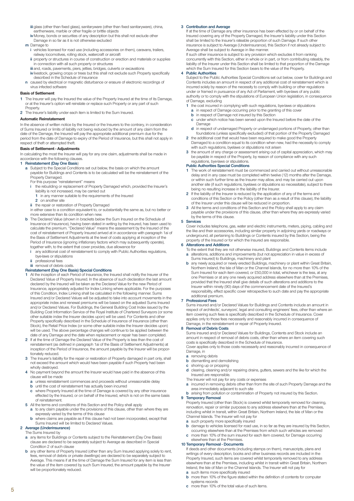- **iii** glass (other than fixed glass), sanitaryware (other than fixed sanitaryware), china, earthenware, marble or other fragile or brittle objects
- **iv**Money, bonds or securities of any description but this shall not exclude other Damage in so far as it is not otherwise excluded
- **m** Damage to
	- **i** vehicles licensed for road use (including accessories on them), caravans, trailers, railway locomotives, rolling stock, watercraft or aircraft
	- **ii** property or structures in course of construction or erection and materials or supplies in connection with all such property or structures
	- **iii** and, roads, pavements, piers, jetties, bridges, culverts or excavations
	- **iv** livestock, growing crops or trees but this shall not exclude such Property specifically described in the Schedule of Insurance
- **n** caused by electrical or magnetic disturbance or erasure of electronic recordings of virus infected software

#### **Basis of Settlement**

- **1** The Insurer will pay the Insured the value of the Property Insured at the time of its Damage, or at the Insurer's option will reinstate or replace such Property or any part of such Property.
- **2** The Insurer's liability under each item is limited to the Sum Insured.

#### **Automatic Reinstatement**

In the absence of written notice by the Insured or the Insurers to the contrary, in consideration of Sums Insured or limits of liability not being reduced by the amount of any claim from the date of the Damage, the Insured will pay the appropriate additional premium due for the period from the date of Damage to expiry of the Period of Insurance, but this shall not apply in respect of theft or attempted theft.

### **Basis of Settlement - Adjustments**

In calculating the most the Insurer will pay for any one claim, adjustments shall be made in accordance with the following clauses.

### **1 Reinstatement (Day One Basis**)

- **a** Subject to the Special Conditions set out below, the basis on which the amount payable for Buildings and Contents is to be calculated will be the reinstatement of the Property Damaged.
	- For this purpose "reinstatement" means
	- **i** the rebuilding or replacement of Property Damaged which, provided the Insurer's liability is not increased, may be carried out
	- **1** in any manner suitable to the requirements of the Insured
	- **2** on another site
	- **ii** the repair or restoration of Property Damaged
	- in either case to a condition equivalent to, or substantially the same as, but no better or more extensive than its condition when new.
- **b** The Declared Value (shown in brackets below the Sum Insured on the Schedule of Insurance of Insurance), having been stated in writing by the Insured, has been used to calculate the premium. "Declared Value" means the assessment by the Insured of the cost of reinstatement of Property Insured arrived at in accordance with paragraph 1ai of the Basis of Settlement Adjustments at the level of costs applying at inception of the Period of Insurance (ignoring inflationary factors which may subsequently operate), together with, to the extent that cover provides, due allowance for
	- **i** any additional cost of reinstatement to comply with Public Authorities regulations, bye-laws or stipulations
- **in** professional fees **iii** removal of debris costs.

## **Reinstatement (Day One Basis) Special Conditions**

- **1** At the inception of each Period of Insurance, the Insured shall notify the Insurer of the Declared Value of Property Insured. In the absence of such declaration the last amount declared by the Insured will be taken as the Declared Value for the new Period of Insurance, appropriately adjusted for Index Linking where applicable. For the purposes of this Condition, Index Linking shall be calculated in the following manner. Sums Insured and/or Declared Values will be adjusted to take into account movements in the appropriate index and renewal premiums will be based on the adjusted Sums Insured and/or Declared Values. For Buildings, the General Building Cost Index issued by the Building Cost Information Service of the Royal Institute of Chartered Surveyors (or some other suitable index the Insurer decides upon) will be used. For Contents and other Property specifically described in the Schedule of Insurance of Insurance (other than Stock), the Retail Price Index (or some other suitable index the Insurer decides upon) will be used. The above percentage changes will continue to be applied between the date of any Damage and the date when replacement or repair has been completed.
- **2** If at the time of Damage the Declared Value of the Property is less than the cost of reinstatement (as defined in paragraph 1ai of the Basis of Settlement Adjustments) at inception of the Period of Insurance, the amount payable by the Insurer will be proportionately reduced.
- **3** The Insurer's liability for the repair or restoration of Property damaged in part only, shall not exceed the amount which would have been payable if such Property had been wholly destroyed.
- **4** No payment beyond the amount the Insurer would have paid in the absence of this clause will be made
	- **a** unless reinstatement commences and proceeds without unreasonable delay
	- **b** until the cost of reinstatement has actually been incurred **c** where Property Insured at the time of Damage is covered by any other insurance effected by the Insured, or on behalf of the Insured, which is not on the same basis of reinstatement.
- **5** All the terms and conditions of this Section and the Policy shall apply
	- **a** to any claim payable under the provisions of this clause, other than where they are expressly varied by the terms of this clause
	- **b** where claims are payable as if this clause had not been incorporated, except that Sums Insured will be limited to Declared Values.

### **2 Average (Underinsurance)**

- The Sums Insured by
- **a** any items for Buildings or Contents subject to the Reinstatement (Day One Basis) clause are declared to be separately subject to Average as described in Special Condition 2 of such clause
- **b** any other items of Property Insured (other than any Sum Insured applying solely to rent, fees, removal of debris or private dwellings) are declared to be separately subject to Average. This means if at the time of Damage the Sum Insured for any item is less than the value of the item covered by such Sum Insured, the amount payable by the Insurer will be proportionately reduced.

#### **3 Contribution and Average**

If at the time of Damage any other insurance has been effected by or on behalf of the Insured covering any of the Property Damaged, the Insurer's liability under this Section shall be limited to the Insurer's rateable proportion of such Damage. If such other insurance is subject to Average (Underinsurance), this Section if not already subject to Average shall be subject to Average in like manner.

If such other insurance is subject to any provision which excludes it from ranking concurrently with this Section, either in whole or in part, or from contributing rateably, the liability of the Insurer under this Section shall be limited to that proportion of the Damage which the Sum Insured for this Section bears to the value of the Property.

#### **4 Public Authorities**

Subject to the Public Authorities Special Conditions set out below, cover for Buildings and Contents includes an amount in respect of any additional cost of reinstatement which is incurred solely by reason of the necessity to comply with building or other regulations under or framed in pursuance of any Act of Parliament, with bye-laws of any public authority or to comply with the stipulations of European Union legislation, in consequence of Damage, excluding

- **1** the cost incurred in complying with such regulations, bye-laws or stipulations
	- **a** in respect of Damage occurring prior to the granting of this cover<br>**b** in respect of Damage not insured by this Section in respect of Damage not insured by this Section
	- **c** under which notice has been served upon the Insured before the date of the Damage
- **d** in respect of undamaged Property or undamaged portions of Property, other than foundations (unless specifically excluded) of that portion of the Property Damaged
- **2** the additional cost that would have been required to make good the Property Damaged to a condition equal to its condition when new, had the necessity to comply with such regulations, byelaws or stipulations not arisen
- **3** the amount of any charge or assessment arising out of capital appreciation, which may be payable in respect of the Property, by reason of compliance with any such regulations, bye-laws or stipulations.

#### **Public Authorities Special Conditions**

- **1** The work of reinstatement must be commenced and carried out without unreasonable delay and in any case must be completed within twelve (12) months after the Damage, or within such further time as the Insurer may allow, and may be carried out upon another site (if such regulations, byelaws or stipulations so necessitate), subject to there being no resulting increase in the liability of the Insurer.
- If the liability of the Insurer is reduced by the application of any of the terms and conditions of this Section or the Policy (other than as a result of this clause), the liability of the Insurer under this clause will be reduced in proportion.
- **3** All the terms and conditions of this Section and the Policy shall apply to any claim payable under the provisions of this clause, other than where they are expressly varied by the terms of this clause.

### **5 Services**

Cover includes telephone, gas, water and electric instruments, meters, piping, cabling and the like and their accessories, including similar property in adjoining yards or roadways or underground, all pertaining to Buildings or Contents insured by this Section, being the property of the Insured or for which the Insured are responsible.

- **6 Alterations and Additions**  To the extent that they are not otherwise insured, Buildings and Contents items include **a** alterations, additions and improvements (but not appreciation in value in excess of Sums Insured) to Buildings, machinery and plant
	- **b** any newly acquired or newly erected Buildings, machinery or plant within Great Britain, Northern Ireland, the Isle of Man or the Channel Islands, for no more than 10% of the Sum Insured for each item covered, or £50,000 in total, whichever is the less, at any one Premises or at any one newly acquired address elsewhere than at the Premises, provided that the Insured shall give details of such alterations and additions to the Insurer within ninety (90) days of the commencement date of the Insured's responsibility, effect specific cover retrospective to such date and pay the appropriate additional premium.

#### **7 Professional Fees**

Sums insured and/or Declared Values for Buildings and Contents include an amount in respect of architects', surveyors', legal and consulting engineers' fees, other than where an item covering such fees is specifically described in the Schedule of Insurance. Cover applies only to those fees necessarily and reasonably incurred in consequence of Damage, in the reinstatement or repair of Property Insured.

#### **8 Removal of Debris Costs**

Sums insured and/or Declared Values for Buildings, Contents and Stock include an amount in respect of removal of debris costs, other than where an item covering such costs is specifically described in the Schedule of Insurance.

Cover applies only to those costs necessarily and reasonably incurred in consequence of Damage, in

- **a** removing debris
- **b** dismantling and demolishing shoring up or propping
- **d** clearing, cleaning and/or repairing drains, gutters, sewers and the like for which the Insured are responsible.
- The Insurer will not pay for any costs or expenses
- **a** incurred in removing debris other than from the site of such Property Damage and the area immediately adjacent to such site
- **b** arising from pollution or contamination of Property not insured by this Section.

#### **9 Temporary Removal**

Property Insured (other than Stock) is covered whilst temporarily removed for cleaning, renovation, repair or similar purposes to any address elsewhere than at the Premise including whilst in transit, within Great Britain, Northern Ireland, the Isle of Man or the Channel Islands. The Insurer will not pay for

- **a** such property more specifically insured
- **b** damage to vehicles licensed for road use, in so far as they are insured by this Section, occurring elsewhere than at the Premises from which such vehicles are removed
- **c** more than 10% of the sum insured for each item covered, for Damage occurring elsewhere than at the Premises.

#### **10 Temporary Removal - Documents**

If deeds and other documents (including stamps on them), manuscripts, plans and writings of every description, books and other business records are included in the Property Insured, such items are covered whilst temporarily removed to any address elsewhere than at the Premises, including whilst in transit within Great Britain, Northern Ireland, the Isle of Man or the Channel Islands. The Insurer will not pay for **a** such items more specifically insured

- **b** more than 10% of the figure stated within the definition of contents for computer systems records
- **c** more than 10% of the total value of such items.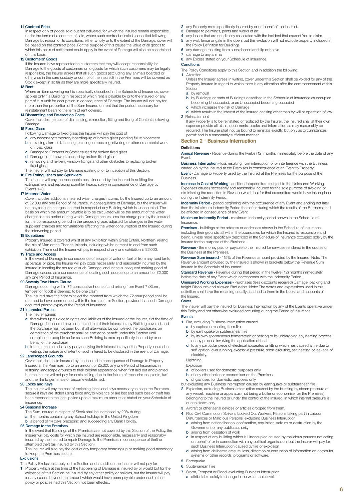#### **11 Contract Price**

In respect only of goods sold but not delivered, for which the Insured remain responsible under the terms of a contract of sale, where such contract of sale is cancelled following Damage by reason of its conditions, either wholly or to the extent of the Damage, cover will be based on the contract price. For the purpose of this clause the value of all goods to which this basis of settlement could apply in the event of Damage will also be ascertained on this basis.

### **12 Customers' Goods**

If the Insured have represented to customers that they will accept responsibility for Damage to the goods of customers or to goods for which such customers may be legally responsible, the Insurer agrees that all such goods (excluding any animals boarded or otherwise in the care custody or control of the insured) in the Premises will be covered as Stock except in so far as they are more specifically insured.

#### **13 Rent**

Where an item covering rent is specifically described in the Schedule of Insurance, cover applies only if a Building in respect of which rent is payable by or to the Insured, or any part of it, is unfit for occupation in consequence of Damage. The Insurer will not pay for more than the proportion of the Sum Insured on rent that the period necessary for reinstatement bears to the term of rent covered.

#### **14 Dismantling and Re-erection Costs**

Cover includes the cost of dismantling, re-erection, fitting and fixing of Contents following Damage.

#### **15 Fixed Glass**

Following Damage to fixed glass the Insurer will pay the cost of

- **a** any necessary temporary boarding-up of broken glass pending full replacement **b** replacing alarm foil, lettering, painting, embossing, silvering or other ornamental work on fixed glass
- **c** Damage to Contents or Stock caused by broken fixed glass
- **d** Damage to framework caused by broken fixed glass
- **e** removing and re-fixing window fittings and other obstacles to replacing broken fixed glass.

The Insurer will not pay for Damage existing prior to inception of this Section.

### **16 Fire Extinguishers and Sprinklers**

The Insurer will pay the reasonable costs incurred by the Insured in re-filling fire extinguishers and replacing sprinkler heads, solely in consequence of Damage by Events 1–3.

#### **17 Metered Water**

Cover includes additional metered water charges incurred by the Insured up to an amount of £2,000 any one Period of Insurance, in consequence of Damage, but the Insurer will not pay for such charges incurred in respect of any Building which is Unoccupied. The basis on which the amount payable is to be calculated will be the amount of the water charges for the period during which Damage occurs, less the charge paid by the Insured for the corresponding period in the preceding year, adjusted for changes in the water suppliers' charges and for variations affecting the water consumption of the Insured during the intervening period.

#### **18 Exhibitions**

Property Insured is covered whilst at any exhibition within Great Britain, Northern Ireland, the Isle of Man or the Channel Islands, including whilst in transit to and from such exhibition. The most the Insurer will pay in respect of any one exhibition is £2,000.

#### **19 Trace and Access**

In the event of Damage in consequence of escape of water or fuel oil from any fixed tank, apparatus or pipe, the Insurer will pay costs necessarily and reasonably incurred by the Insured in locating the source of such Damage, and in the subsequent making good of Damage caused as a consequence of locating such source, up to an amount of £2,000 any one Period of Insurance.

#### **20 Seventy Two Hours Clause**

Damage occurring within 72 consecutive hours of and arising from Event 7 (Storm, tempest or flood) is deemed to be one claim.

The Insured have the right to select the moment from which the 72-hour period shall be deemed to have commenced within the terms of this Section, provided that such Damage occurred prior to expiry of the Period of Insurance.

#### **21 Interested Parties**  The Insurer agrees

- **a** that without prejudice to rights and liabilities of the Insured or the Insurer, if at the time of Damage the Insured have contracted to sell their interest in any Building covered, and the purchase has not been but shall afterwards be completed, the purchasers on completion of the purchase shall be entitled to benefit under this Section until completion, except in so far as such Building is more specifically insured by or on behalf of the purchaser
- **b** to note the interest of any party notifying their interest in any of the Property Insured in writing, the nature and extent of such interest to be disclosed in the event of Damage.

#### **22 Landscaped Grounds**

Cover includes costs incurred by the Insured in consequence of Damage to Property Insured at the Premises, up to an amount of £5,000 any one Period of Insurance, in restoring landscape grounds to their original appearance when first laid out and planted, but the Insurer will not pay for costs arising due to the failure of trees, shrubs, plants, turf and the like to germinate or become established.

#### **23 Locks and Keys**

The Insurer will pay the cost of replacing locks and keys necessary to keep the Premises secure if keys are stolen using force and/or violence or are lost and such loss or theft has been reported to the local police up to a maximum amount as stated on your Schedule of insurance.

#### **24 Seasonal Increase**

The Sum Insured in respect of Stock shall be increased by 20% during:

- **a** the months containing any School holidays in the United Kingdom **b** a period of 14 days preceding and succeeding any Bank Holiday.
- 

### **25 Damage to the Premises**

In the event that Buildings at the Premises are not covered by this Section of the Policy, the Insurer will pay costs for which the Insured are responsible, necessarily and reasonably incurred by the Insured to repair Damage to the Premises in consequence of theft or attempted theft (as insured by this Section).

The Insurer will also pay the cost of any temporary boarding-up or making good necessary to keep the Premises secure.

### **Exclusions**

The Policy Exclusions apply to this Section and in addition the Insurer will not pay for **1** Property which at the time of the happening of Damage is insured by or would but for the existence of this Section be insured by any other policy or policies, but the Insurer will pay for any excess beyond the amount which would have been payable under such other policy or policies had this Section not been effected.

- **2** any Property more specifically insured by or on behalf of the Insured.
- **3** Damage to paintings, prints and works of art.<br>**4** any losses that are not directly associated with
- **4** any losses that are not directly associated with the incident that caused You to claim **5** any wall, fence or gate in the open, but this exclusion will not exclude property included in
- the Policy Definition for Buildings
- **6** any damage resulting from subsidence, landslip or heave<br>**7** damage to any animal
- **7** damage to any animal
- **8** any Excess stated on your Schedule of Insurance.

### **Conditions**

The Policy Conditions apply to this Section and in addition the following: **1** Alteration

Unless the Insurer agrees in writing, cover under this Section shall be voided for any of the Property Insured in regard to which there is any alteration after the commencement of this **Section** 

#### **a** by removal

- **b** by Buildings or parts of Buildings described in the Schedule of Insurance as occupied becoming Unoccupied, or as Unoccupied becoming occupied **c** which increases the risk of Damage
- **d** which results in the interest of the Insured ceasing other than by will or operation of law.
- **2** Reinstatement If any Property is to be reinstated or replaced by the Insurer, the Insured shall at their own expense provide all plans, documents, books and information as may reasonably be required. The Insurer shall not be bound to reinstate exactly, but only as circumstances permit and in a reasonably sufficient manner.

#### **Section 2 - Business Interruption**

#### **Definitions**

**Annual Revenue -** Revenue during the twelve (12) months immediately before the date of any Event.

**Business Interruption -** loss resulting from interruption of or interference with the Business carried on by the Insured at the Premises in consequence of an Event to Property. **Event -** Damage to Property used by the Insured at the Premises for the purpose of the **Busingss** 

**Increase in Cost of Working -** additional expenditure (subject to the Uninsured Working Expenses clause) necessarily and reasonably incurred for the sole purpose of avoiding or diminishing the reduction in Revenue which but for that expenditure would have taken place during the Indemnity Period.

**Indemnity Period -** period beginning with the occurrence of any Event and ending not later than the Maximum Indemnity Period thereafter during which the results of the Business shall be affected in consequence of any Event.

**Maximum Indemnity Period -** maximum indemnity period shown in the Schedule of Insurance.

**Premises -** buildings at the address or addresses shown in the Schedule of Insurance including their grounds, all within the boundaries for which the Insured is responsible and being, unless more specifically described in the Schedule of Insurance occupied solely by the Insured for the purpose of the Business.

**Revenue -** the money paid or payable to the Insured for services rendered in the course of the Business at the Premises.

**Revenue Sum insured -** 115% of the Revenue amount provided by the Insured. Note: The Revenue amount provided by the Insured is shown in brackets below the Revenue Sum Insured in the Schedule of Insurance.

**Standard Revenue -** Revenue during that period in the twelve (12) months immediately before the date of any Event which corresponds with the Indemnity Period.

**Uninsured Working Expenses -** Purchases (less discounts received) Carriage, packing and freight Discounts and allowed Bad debts. Note: The words and expressions used in this definition shall have the meaning usually attached to them in the books and accounts of the Insured.

#### **Cover**

The Insurer will pay the Insured for Business Interruption by any of the Events operative under this Policy and not otherwise excluded occurring during the Period of Insurance.

### **Events**

- **1** Fire, excluding Business Interruption caused
	- **a** by explosion resulting from fire
	- **b** by earthquake or subterranean fire
	- **c** by its own spontaneous fermentation or heating or its undergoing any heating process or any process involving the application of heat
	- **d** to any particular piece of electrical apparatus or fitting which has caused a fire due to self ignition, over running, excessive pressure, short circuiting, self heating or leakage of electricity.

Lightning

- Explosion
- **a** of boilers used for domestic purposes only **b** of any other boiler or economiser on the Premises
- **c** of gas used for domestic purposes only
- but excluding any Business Interruption caused by earthquake or subterranean fire.
- **2** Explosion, excluding Business Interruption caused by the bursting by steam pressure of any vessel, machine or apparatus (not being a boiler or economiser on the Premises) belonging to the Insured or under the control of the Insured, in which internal pressure is due to steam only.
- **3** Aircraft or other aerial devices or articles dropped from them.
- **4** Riot, Civil Commotion, Strikers, Locked Out Workers, Persons taking part in Labour
	- Disturbances or Malicious Persons, excluding Business Interruption **a** arising from nationalisation, confiscation, requisition, seizure or destruction by the Government or any public authority
	- **b** arising from cessation of work
	- in respect of any building which is Unoccupied caused by malicious persons not acting on behalf of or in connection with any political organisation, but the Insurer will pay for such Business Interruption caused by fire or explosion
	- **d** arising from deliberate erasure, loss, distortion or corruption of information on computer systems or other records, programs or software.
- **5** Earthquake
- **6** Subterranean Fire
- **7** Storm, Tempest or Flood, excluding Business Interruption **a** attributable solely to change in the water table level
	-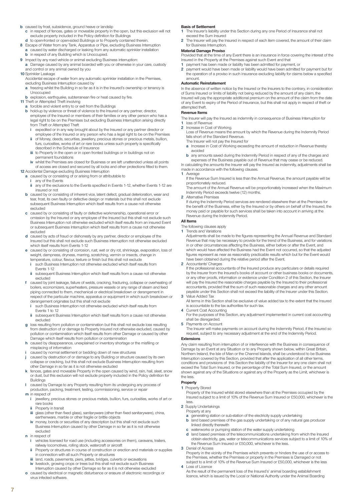- **b** caused by frost, subsidence, ground heave or landslip
	- **c** in respect of fences, gates or moveable property in the open, but this exclusion will not exclude property included in the Policy definition for Buildings
- **d** to open-fronted or open-sided Buildings or to Property contained therein. **8** Escape of Water from any Tank, Apparatus or Pipe, excluding Business Interruption caused by water discharged or leaking from any automatic sprinkler installation **b** in respect of any Building which is Unoccupied.
- **9** Impact by any road vehicle or animal excluding Business interruption:
- **a** Damage caused by any animal boarded with you or otherwise in your care, custody and control or any animal owned by you
- **10** Sprinkler Leakage
	- Accidental escape of water from any automatic sprinkler installation in the Premises, excluding Business Interruption caused by
	- **a** freezing whilst the Building in so far as it is in the Insured's ownership or tenancy is Unoccupied
- **b** explosion, earthquake, subterranean fire or heat caused by fire.
- **11** Theft or Attempted Theft involving
	- **a** forcible and violent entry to or exit from the Buildings **b** hold-up by violence or threat of violence to the Insured or any partner, director,<br>employee of the Insured or members of their families or any other person who has a legal right to be on the Premises but excluding Business Interruption arising directly from Theft or Attempted Theft
		- **i** expedited or in any way brought about by the Insured or any partner director or employee of the Insured or any person who has a legal right to be on the Premises
		- of Money, deeds, securities, jewellery, precious stones or precious metals, bullion, furs, curiosities, works of art or rare books unless such property is specifically described in the Schedule of Insurance
		- **iii** to Property in the open or in open fronted buildings or in buildings not on permanent foundations
- **iv** whilst the Premises are closed for Business or are left unattended unless all points of access are closed and secured by all locks and other protections fitted to them. **12** Accidental Damage excluding Business Interruption
	- **a** caused by or consisting of or arising from or attributable to
		- **i** any of the Events
	- any of the exclusions to the Events specified in Events 1-12, whether Events 1-12 are insured or not
	- **b** caused by or consisting of inherent vice, latent defect, gradual deterioration, wear and tear, frost, its own faulty or defective design or materials but this shall not exclude subsequent Business Interruption which itself results from a cause not otherwise excluded
	- **c** caused by or consisting of faulty or defective workmanship, operational error or omission by the Insured or any employee of the Insured but this shall not exclude such Business Interruption not otherwise excluded which itself results from an insured Event or subsequent Business Interruption which itself results from a cause not other excluded
	- **d** caused by acts of fraud or dishonesty by any partner, director or employee of the Insured but this shall not exclude such Business interruption not otherwise excluded which itself results from Events 1-12
	- **e** caused by or consisting of corrosion, rust, wet or dry rot, shrinkage, evaporation, loss of weight, dampness, dryness, marring, scratching, vermin or insects, change in temperature, colour, flavour, texture or finish but this shall not exclude
	- **interest in the such Business Interruption not otherwise excluded which itself results from** Events 1-12
	- **ii** subsequent Business Interruption which itself results from a cause not otherwise excluded
	- **f** caused by joint leakage, failure of welds, cracking, fracturing, collapse or overheating of boilers, economizers, superheaters, pressure vessels or any range of steam and feed piping connected to them, mechanical or electrical breakdown or derangement in respect of the particular machine, apparatus or equipment in which such breakdown or derangement originates but this shall not exclude
		- **i** such Business Interruption not otherwise excluded which itself results from Events 1 to 12
		- **ii** subsequent Business Interruption which itself results from a cause not otherwise excluded
	- **g** loss resulting from pollution or contamination but this shall not exclude loss resulting from destruction of or damage to Property Insured not otherwise excluded, caused by pollution or contamination which itself results from other Damage or caused by other Damage which itself results from pollution or contamination
	- **h** caused by disappearance, unexplained or inventory shortage or the misfiling or misplacing of information
	- **i** caused by normal settlement or bedding down of new structures
	- **j** caused by destruction of or damage to any Building or structure caused by its own collapse or cracking, but this shall not exclude Business Interruption resulting from other Damage in so far as it is not otherwise excluded
	- **k** fences, gates and moveable Property in the open caused by wind, rain, hail, sleet, snow or dust, but this exclusion will not exclude property included in the Policy definition for Buildings
	- **l** caused by Damage to any Property resulting from its undergoing any process of production, packing, treatment, testing, commissioning, service or repair
	- **m** in respect of<br>**i** jewellery,
	- **i** jewellery, precious stones or precious metals, bullion, furs, curiosities, works of art or rare books
	- **Property in transit**
	- **iii** glass (other than fixed glass), sanitaryware (other than fixed sanitaryware), china, earthenware, marble or other fragile or brittle objects
	- **iv** money, bonds or securities of any description but this shall not exclude such Business Interruption caused by other Damage in so far as it is not otherwise excluded
	- **n** in respect of
		- **i** vehicles licensed for road use (including accessories on them), caravans, trailers, railway locomotives, rolling stock, watercraft or aircraft
		- **ii** Property or structures in course of construction or erection and materials or supplies in connection with all such Property or structures
		- **iii** land, roads, pavements, piers, jetties, bridges, culverts or excavations livestock, growing crops or trees but this shall not exclude such Business
		- Interruption caused by other Damage so far as it is not otherwise excluded
	- **o** caused by electrical or magnetic disturbance or erasure of electronic recordings or virus infected software.

#### **Basis of Settlement**

- **1** The Insurer's liability under this Section during any one Period of Insurance shall not exceed the Sum Insured
- **2** The Insurer will pay the Insured in respect of each item covered, the amount of their claim for Business Interruption.

#### **Material Damage Proviso**

Provided that at the time of any Event there is an insurance in force covering the interest of the Insured in the Property at the Premises against such Event and that

- **1** payment has been made or liability has been admitted for payment, or
- **2** payment would have been made or liability would have been admitted for payment but for the operation of a proviso in such insurance excluding liability for claims below a specified amount.

#### **Automatic Reinstatement**

In the absence of written notice by the Insured or the Insurers to the contrary, in consideration of Sums Insured or limits of liability not being reduced by the amount of any claim, the Insured will pay the appropriate additional premium on the amount of the claim from the date of any Event to expiry of the Period of Insurance, but this shall not apply in respect of theft or attempted theft.

#### **Revenue Items**

The Insurer will pay the Insured as indemnity in consequence of Business Interruption for

1 loss of Revenue<br>2 Increase in Cost **2** Increase in Cost of Working.

Loss of Revenue means the amount by which the Revenue during the Indemnity Period falls short of the Standard Revenue.

- The Insurer will not pay the Insured for
- **a** Increase in Cost of Working exceeding the amount of reduction in Revenue thereby avoided
- **b** any amounts saved during the Indemnity Period in respect of any of the charges and expenses of the Business payable out of Revenue that may cease or be reduced. In calculating the amounts the Insurer will pay the Insured as indemnity, adjustments shall be

made in accordance with the following clauses.

- **1** Average If the Revenue Sum Insured is less than the Annual Revenue, the amount payable will be proportionately reduced.
	- The amount of the Annual Revenue will be proportionately increased when the Maximum Indemnity Period exceeds twelve (12) months.
- **2** Alternative Premises

If during the Indemnity Period services are rendered elsewhere than at the Premises for the benefit of the Business, either by the Insured or by others on behalf of the Insured, the money paid or payable for such services shall be taken into account in arriving at the Revenue during the Indemnity Period.

### **All Items**

The following clauses apply **1** Trends and Variations

Adjustments shall be made to the figures representing the Annual Revenue and Standard Revenue that may be necessary to provide for the trend of the Business, and for variations in or other circumstances affecting the Business, either before or after the Event, and which would have affected the Business had the Event not occurred, so that the adjusted figures represent as near as reasonably practicable results which but for the Event would have been obtained during the relative period after the Event.

**2** Accountants' Charges

If the professional accountants of the Insured produce any particulars or details required by the Insurer from the Insured's books of account or other business books or documents, or any other proofs, information or evidence under Condition 2 of this Section, the Insurer will pay the Insured the reasonable charges payable by the Insured to their professional accountants, provided that the sum of such reasonable charges and any other amount payable under this Section shall not exceed the liability of the Insurer under this Section. **3** Value Added Tax

All terms in this Section shall be exclusive of value added tax to the extent that the Insured is accountable to the tax authorities for such tax.

**4** Current Cost Accounting

For the purposes of this Section, any adjustment implemented in current cost accounting shall be disregarded.

**5** Payments on Account

The Insurer will make payments on account during the Indemnity Period, if the Insured so request, subject to any necessary adjustment at the end of the Indemnity Period.

### **Extensions**

Any claim resulting from interruption of or interference with the Business in consequence of Damage by an Event at any Situation or to any Property shown below, within Great Britain, Northern Ireland, the Isle of Man or the Channel Islands, shall be understood to be Business Interruption covered by this Section, provided that after the application of all other terms, conditions and provisions of this Section the liability of the Insurer for any one claim shall not exceed the Total Sum Insured, or the percentage of the Total Sum Insured, or the amount shown against any of the Situations or against any of the Property as the Limit, whichever is the less.

#### **Property**

#### **1** Property Stored

Property of the Insured whilst stored elsewhere than at the Premises occupied by the Insured subject to a limit of 10% of the Revenue Sum Insured or £50,000, whichever is the less.

- **2** Supply Undertakings
- Property at any
- **a** generating station or sub-station of the electricity supply undertaking
- **b** land based premises of the gas supply undertaking or of any natural gas producer linked directly therewith
- **c** waterworks or pumping station of the water supply undertaking
- **d** land based premises of the telecommunications undertaking from which the Insured obtain electricity, gas, water or telecommunications services subject to a limit of 10% of the Revenue Sum Insured or £50,000, whichever is the less.

**3** Denial of Access

Property in the vicinity of the Premises which prevents or hinders the use of or access to the Premises, whether the Premises or property in the Premises is Damaged or not subject to a limit of 10% of the Revenue Sum Insured or £50,000, whichever is the less **4** Loss of Licence

As the result of the permanent loss of the Insured's' animal boarding establishment licence, which is issued by the Local or National Authority under the Animal Boarding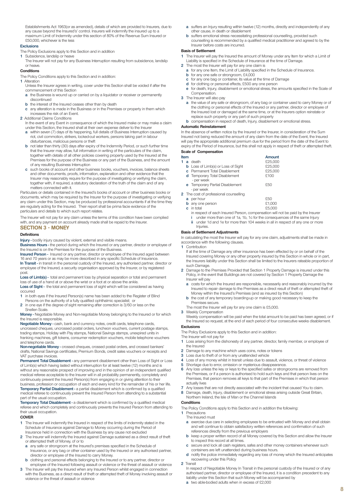Establishments Act 1963(or as amended), details of which are provided to Insurers, due to any cause beyond the Insured's' control. Insurers will indemnify the insured up to a maximum Limit of Indemnity under this section of 80% of the Revenue Sum Insured or £50,000, whichever is the less

#### **Exclusions**

- The Policy Exclusions apply to this Section and in addition
- **1** Subsidence, landslip or heave
	- The Insurer will not pay for any Business Interruption resulting from subsidence, landslip or heave.

#### **Conditions**

The Policy Conditions apply to this Section and in addition:

**1** Alteration Unless the Insurer agrees in writing, cover under this Section shall be voided if after the commencement of this Section

- **a** the Business is wound up or carried on by a liquidator or receiver or permanently discontinued
- 
- **b** the interest of the Insured ceases other than by death **c** any alteration is made in the Business or in the Premises or property in them which increases the risk of an Event.
- **2** Additional Claims Conditions
	- In the event of any Event in consequence of which the Insured make or may make a claim under this Section, the Insured shall at their own expense deliver to the Insure
	- **a** within seven (7) days of its happening, full details of Business Interruption caused by riot, civil commotion, strikers, locked-out workers, persons taking part in labour disturbances, malicious persons or theft
	- **b** not later than thirty (30) days after expiry of the Indemnity Period, or such further time that the Insurer may allow, full information in writing of the particulars of the claim, together with details of all other policies covering property used by the Insured at the Premises for the purpose of the Business or any part of the Business, and the amount of any resulting Business Interruption
	- **c** such books of account and other business books, vouchers, invoices, balance sheets and other documents, proofs, information, explanation and other evidence that the Insurer may reasonably require for the purpose of investigating or verifying the claim, together with, if required, a statutory declaration of the truth of the claim and of any matters connected with it.

Particulars or details contained in the Insured's books of account or other business books or documents, which may be required by the Insurer for the purpose of investigating or verifying any claim under this Section, may be produced by professional accountants if at the time they are regularly acting for the Insured. Their report shall be prima facie evidence of the particulars and details to which such report relates.

The Insurer will not pay for any claim unless the terms of this condition have been complied with, and any payment on account already made shall be repaid to the Insurer.

#### **SECTION 3 - MONEY**

#### **Definitions**

**Injury -** bodily injury caused by violent, external and visible means.

**Business Hours -** the period during which the Insured or any partner, director or employee of the Insured is on the Premises for the purpose of the Business.

**Insured Person -** Insured or any partner, director or employee of the Insured aged between 16 and 70 years or as may be more described in any specific Schedule of Insurance. **In Transit -** in transit in the personal custody of the Insured, any authorised partner, director or

employee of the Insured, a security organisation approved by the Insurer, or by registered post. **Loss of Limb(s) -** total and permanent loss by physical separation or total and permanent

loss of use of a hand at or above the wrist or a foot at or above the ankle. **Loss of Sight -** the total and permanent loss of sight which will be considered as having occurred

- **1** in both eyes if the Insured Person(s) name has been added to the Register of Blind Persons on the authority of a fully qualified ophthalmic specialist; or
- **2** in one eye if the degree of sight remaining after correction is 3/60 or less on the Snellen Scale.

**Money -** Negotiable Money and Non-negotiable Money belonging to the Insured or for which the Insured is responsible.

**Negotiable Money -** cash, bank and currency notes, credit cards, telephone cards, uncrossed cheques, uncrossed postal orders, luncheon vouchers, current postage stamps, trading stamps, Holiday with Pay stamps, National Savings stamps, unexpired units in franking machines, gift tokens, consumer redemption vouchers, mobile telephone vouchers and telephone cards.

**Non-negotiable Money -** crossed cheques, crossed postal orders, and crossed bankers' drafts, National Savings certificates, Premium Bonds, credit sales vouchers or receipts and VAT purchase invoices.

**Permanent Total Disablement -** any permanent disablement other than Loss of Sight or Loss of Limb(s) which having lasted without interruption for at least twelve (12) months and is without any reasonable prospect of improving and in the opinion of an independent qualified medical referee acceptable to the Insurer will in all probability permanently, completely and continuously prevent the Insured Person(s) from engaging in or giving attention to their business, profession or occupation of each and every kind for the remainder of his or her life. **Temporary Partial Disablement -** a partial disablement which is confirmed by a qualified medical referee to continuously prevent the Insured Person from attending to a substantial part of the usual occupation.

**Temporary Total Disablement -** a disablement which is confirmed by a qualified medical referee and which completely and continuously prevents the Insured Person from attending to their usual occupation.

#### **COVER**

- **1** The Insurer will indemnify the Insured in respect of the limits of indemnity stated in the Schedule of Insurance against Damage to Money occurring during the Period of Insurance held in connection with the Business by any cause not excluded
- **2** The Insurer will indemnify the Insured against Damage sustained as a direct result of theft or attempted theft of Money, of or to
- **a** any safe or strongroom at the Insured's premises specified in the Schedule of Insurance, or any bag or other container used by the Insured or any authorised partner,
- director or employee of the Insured to carry Money. **b** clothing and personal effects belonging to the Insured or to any partner, director or
- employee of the Insured following assault or violence or the threat of assault or violence **3** The Insurer will pay the Insured when any Insured Person whilst engaged in connection with the Business, as a direct result of theft or attempted theft of Money involving assault or violence or the threat of assault or violence
- **a** suffers an Injury resulting within twelve (12) months, directly and independently of any other cause, in death or disablement
- **b** suffers emotional stress necessitating professional counselling, provided such counselling is recommended by a qualified medical practitioner and agreed to by the Insurer before costs are incurred.

#### **Basis of Settlement**

- **1** The Insurer will pay the Insured the amount of Money under any Item for which a Limit of Liability is specified in the Schedule of Insurance at the time of Damage.
- **2** The most the Insurer will pay for any one claim is
	- **a** for any one Item, the Limit of Liability specified in the Schedule of Insurance.
	- **b** for any one safe or strongroom, £4,000
	- **c** for any one bag or container, its value at the time of Damage
	- **d** for clothing or personal effects, £500 any one person **e** for death, Injury, disablement or emotional stress, the amounts specified in the Scale of Compensation.
- **3** The Insurer will also pay
	- **a** the value of any safe or strongroom, of any bag or container used to carry Money or of the clothing or personal effects of the Insured or any partner, director or employee of the Insured lost or damaged at the same time, or at the Insurers option reinstate or replace such property or any part of such property
	- **b** compensation in respect of death, Injury, disablement or emotional stress.

### **Automatic Reinstatement**

In the absence of written notice by the Insured or the Insurer, in consideration of the Sum Insured not being reduced the amount of any claim from the date of the Event, the Insured will pay the appropriate additional premium due for the period from the date of the Event to expiry of the Period of Insurance, but this shall not apply in respect of theft or attempted theft.

### **Scale of Compensation**

| Item |  |                                               | Amount  |  |
|------|--|-----------------------------------------------|---------|--|
|      |  | 1 a death                                     | £25,000 |  |
|      |  | <b>b</b> Loss of Limb(s) or Loss of Sight     | £25,000 |  |
|      |  | <b>c</b> Permanent Total Disablement          | £25,000 |  |
|      |  | d Temporary Total Disablement<br>- per week   | £100    |  |
|      |  | e Temporary Partial Disablement<br>- per week | £50     |  |
|      |  | 2 The cost of professional counselling        |         |  |

**2** The cost of professional counselling

| <b>a</b> per hour       | £50    |
|-------------------------|--------|
| <b>b</b> any one person | £1.000 |
| <b>c</b> in total       | £5.000 |

- **c** in total £5,000 in respect of each Insured Person, compensation will not be paid by the Insurer
- **i** under more than one of 1a, 1b, 1c for the consequences of the same Injury under 1d and 1e for more than 104 weeks in all in respect of any one or more Injuries.

#### **Basis of Settlement Adjustments**

In calculating the most the Insurer will pay for any one claim, adjustments shall be made in accordance with the following clauses.<br>1 Contribution

**1** Contribution

- If at the time of Damage any other insurance has been effected by or on behalf of the Insured covering Money or any other property insured by this Section in whole or in part, the Insurers liability under this Section shall be limited to the Insurers rateable proportion of such Damage.
- **2** Damage to the Premises Provided that Section 1 Property Damage is insured under this Policy, in the event that Buildings are not covered by Section 1 Property Damage the Insurer will pay
	- **a** costs for which the Insured are responsible, necessarily and reasonably incurred by the Insured to repair damage to the Premises as a direct result of theft or attempted theft of Money within the Insured's Premises (and as insured by this Section)
	- **b** the cost of any temporary boarding-up or making good necessary to keep the Premises secure.
- The most the Insurer will pay for any one claim is £5,000.

**3** Weekly Compensation Weekly compensation will be paid when the total amount to be paid has been agreed, or if the Insured so request, at the end of each period of four consecutive weeks disablement.

### **Exclusions**

The Policy Exclusions apply to this Section and in addition:

- The Insurer will not pay for
- **1** Loss arising from the dishonesty of any partner, director, family member, or employee of the Insured
- **2** Damage to any machine which uses coins, notes or tokens
- **3** Loss due to theft of or from any unattended vehicle
- **4** Loss of any money whilst in transit unless due to assault, violence, or threat of violence
- **5** Shortage due to error, omission or mysterious disappearance. **6** Any loss unless the key or keys to the specified safes or strongrooms are removed from the Premises, or if a person is authorised to hold such keys and that person lives on the Premises, that person removes all keys to that part of the Premises in which that person actually lives
- **7** Any losses that are not directly associated with the incident that caused You to claim.
- **8** Damage, death, Injury, disablement or emotional stress arising outside Great Britain, Northern Ireland, the Isle of Man or the Channel Islands

#### **Conditions**

The Policy Conditions apply to this Section and in addition the following:

- **1** Precautions The Insured must
	- **a** exercise due care in selecting employees to be entrusted with Money and shall obtain and will continue to obtain satisfactory written references and confirmation of such references directly from the previous employers
	- **b** keep a proper written record of all Money covered by this Section and allow the Insurer to inspect this record at all times.
	- **c** secure and lock all cash registers, safes and other money containers whenever such containers are left unattended during business hours.
	- **d** notify the police immediately regarding any loss of money which the Insured anticipates recovering under this Policy

#### **2** Transit

- In respect of Negotiable Money In Transit in the personal custody of the Insured or of any authorised partner, director or employee of the Insured, it is a condition precedent to any liability under this Section that such Money will be accompanied by
- **a** two able-bodied adults when in excess of £2,000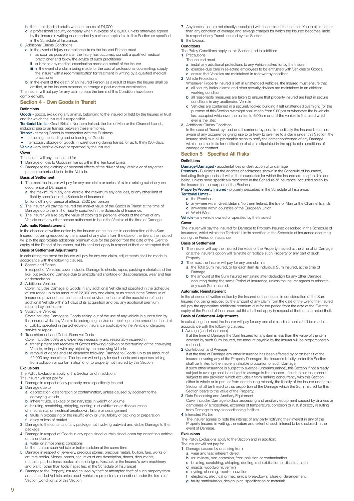- **b** three able-bodied adults when in excess of £4,000
- **c** a professional security company when in excess of £15,000 unless otherwise agreed by the Insurer in writing or amended by a clause applicable to this Section as specified in the Schedule of Insurance.
- **3** Additional Claims Conditions
	- **a** In the event of Injury or emotional stress the Insured Person must as soon as possible after the Injury has occurred, consult a qualified medical
		- practitioner and follow the advice of such practitioner
		- submit to any medical examination made on behalf of the Insurer
		- **iii** in the event of a claim being made for the cost of professional counselling, supply the Insurer with a recommendation for treatment in writing by a qualified medical practitioner
- **b** In the event of the death of an Insured Person as a result of Injury the Insurer shall be entitled, at the Insurers expense, to arrange a post-mortem examination.
- The Insurer will not pay for any claim unless the terms of this Condition have been complied with.

### **Section 4 - Own Goods in Transit**

#### **Definitions**

Goods - goods, excluding any animal, belonging to the Insured or held by the Insured in trust and for which the Insured is responsible.

**Territorial Limits -** Great Britain, Northern Ireland, the Isle of Man or the Channel Islands, including sea or air transits between these territories.

- **Transit** carrying Goods in connection with the Business
- 
- including the loading and unloading of Goods temporary storage of Goods in warehousing during transit, for up to thirty (30) days. **Vehicle -** any vehicle owned or operated by the Insured.

#### **Cover**

The Insurer will pay the Insured for

- **1** Damage or loss to Goods in Transit within the Territorial Limits<br>**2** Damage to the clothing or personal effects of the driver of any
- **2** Damage to the clothing or personal effects of the driver of any Vehicle or of any other person authorised to be in the Vehicle.

#### **Basis of Settlement**

- **1** The most the Insurer will pay for any one claim or series of claims arising out of any one occurrence of Damage is
	- **a** the maximum in any one Vehicle, the maximum any one loss, or any other limit of liability specified in the Schedule of Insurance.
	- **b** for clothing or personal effects, £500 per person
- **2** The Insurer will pay the Insured the market value of the Goods in Transit at the time of Damage up to the limit of liability specified in the Schedule of Insurance.
- **3** The Insurer will also pay the value of clothing or personal effects of the driver of any Vehicle or of any other person authorised to be in the Vehicle at the time of Damage.

#### **Automatic Reinstatement**

In the absence of written notice by the Insured or the Insurer, in consideration of the Sum Insured not being reduced by the amount of any claim from the date of the Event, the Insured will pay the appropriate additional premium due for the period from the date of the Event to expiry of the Period of Insurance, but his shall not apply in respect of theft or attempted theft.

### **Basis of Settlement Adjustments**

In calculating the most the Insurer will pay for any one claim, adjustments shall be made in accordance with the following clauses

### **1** Sheets and Ropes

- In respect of Vehicles, cover includes Damage to sheets, ropes, packing materials and the like, but excluding Damage due to unexplained shortage or disappearance, wear and tear or depreciation.
- **2** Additional Vehicles

Cover includes Damage to Goods in any additional Vehicle not specified in the Schedule of Insurance up to an amount of £2,000 any one claim, or as stated in the Schedule of Insurance provided that the Insured shall advise the Insurer of the acquisition of such additional Vehicle within 21 days of its acquisition and pay any additional premium equired by the Insurer.

**3** Substitute Vehicles

Cover includes Damage to Goods arising out of the use of any vehicle in substitution by the Insured whilst any Vehicle is undergoing service or repair, up to the amount of the Limit of Liability specified in the Schedule of Insurance applicable to the Vehicle undergoing service or repair.

- **4** Transshipment and Debris Removal Costs
	- Cover includes costs and expenses necessarily and reasonably incurred in
	- **a** transhipment and recovery of Goods following collision or overturning of the conveying Vehicle, or impact with any object by the conveying Vehicle
	- **b** removal of debris and site clearance following Damage to Goods, up to an amount of £2,000 any one claim. The Insurer will not pay for such costs and expenses arising from pollution or contamination of or to property not insured by this Section.

#### **Exclusions**

**9**

The Policy Exclusions apply to this Section and in addition:

- The Insurer will not pay for **1** Damage in respect of any property more specifically insured
- **2** Damage due to
- **a** depreciation, deterioration or contamination, unless caused by accident to the conveying vehicle
- **b** inherent vice, leakage or ordinary loss in weight or volume
- **c** bruising, scratching, chipping, denting, rust oxidization or discolouration **d** mechanical or electrical breakdown. failure or derangement mechanical or electrical breakdown, failure or derangement
- faults in processing or the insufficiency or unsuitability of packing or preparation **f** delay or loss of market
- **3** Damage to the contents of any package not involving outward and visible Damage to the package
- **4** Damage in respect of Goods in any open sided, curtain sided, open top or soft top Vehicle or trailer due to
- **a** water or atmospheric conditions
- **b** theft unless such Vehicle or trailer is stolen at the same time
- **5** Damage in respect of jewellery, precious stones, precious metals, bullion, furs, works of art, rare books, Money, bonds, securities of any description, deeds, documents, manuscripts, business books, plans, designs, livestock or the Insured's own machinery and plant ( other than tools if specified in the Schedule of Insurance)
- **Damage to the Property Insured caused by theft or attempted theft of such property from** an unattended Vehicle unless such vehicle is protected as described under the terms of Section Condition 2 of this Section

**7** Any losses that are not directly associated with the incident that caused You to claim, other than any condition of average and salvage charges for which the Insured becomes liable in respect of any Transit insured by this Section

#### **8** the Excess.

- **Conditions**
- The Policy Conditions apply to this Section and in addition:
- **1** Precautions The Insured must
	- **a** install any additional protections to any Vehicle asked for by the Insurer
	- **b** exercise due care in selecting employees to be entrusted with Vehicles or Goods.
	- **c** ensure that Vehicles are maintained in roadworthy condition
- **2** Vehicle Protections
- Whenever Property Insured is left in unattended Vehicles, the Insured must ensure that **a** all security locks, alarms and other security devices are maintained in an efficient working condition
- **b** all reasonable measures are taken to ensure that property insured are kept in secure conditions in any unattended Vehicle
- **c** Vehicles are contained in a securely locked building if left unattended overnight (for the purpose of this Section overnight shall mean from 9.00pm or whenever the is vehicle last occupied whichever the earlier; to 6.00am or until the vehicle is first used which ever is the later.
- **3** Additional Claims Condition

In the case of Transit by road or rail carrier or by post, immediately the Insured becomes aware of any occurrence giving rise to or likely to give rise to a claim under this Section, the Insured shall take all practicable steps to notify the carrier concerned of any Damage within the time limits for notification of claims stipulated in the applicable conditions of carriage or contract.

#### **Section 5 - Specified All Risks**

#### **Definitions**

**Damage/Damaged -** accidental loss or destruction of or damage **Premises -** Buildings at the address or addresses shown in the Schedule of Insurance, including their grounds, all within the boundaries for which the Insured are responsible and being, unless more specifically described in the Schedule of Insurance, occupied solely by the Insured for the purpose of the Business.

**Property/Property Insured -** property described in the Schedule of Insurance. **Territorial Limits -**

#### **a** the Premises

- **b** anywhere within Great Britain, Northern Ireland, the Isle of Man or the Channel Islands **c** anywhere within countries of the European Union.
- **d** World Wide **Vehicle -** any vehicle owned or operated by the Insured.

#### **Cover**

The Insurer will pay the Insured for Damage to Property Insured described in the Schedule of Insurance, whilst within the Territorial Limits specified in the Schedule of Insurance occurring during the Period of Insurance.

#### **Basis of Settlement**

- **1** The Insurer will pay the Insured the value of the Property Insured at the time of its Damage, or at the Insurer's option will reinstate or replace such Property or any part of such **Property**
- **2** The most the Insurer will pay for any one claim is
- **a** the Total Sum Insured, or for each item its individual Sum Insured, at the time of Damage
- **b** the amount of the Sum Insured remaining after deduction for any other Damage occurring during the same Period of Insurance, unless the Insurer agrees to reinstate any such Sum Insured.

#### **Automatic Reinstatement**

In the absence of written notice by the Insured or the Insurer, in consideration of the Sum Insured not being reduced by the amount of any claim from the date of the Event, the Insured will pay the appropriate additional premium due for the period from the date of the Event to expiry of the Period of Insurance, but this shall not apply in respect of theft or attempted theft.

#### **Basis of Settlement Adjustments**

In calculating the most the Insurer will pay for any one claim, adjustments shall be made in accordance with the following clauses.

**1** Average (Underinsurance)

If at the time of Damage the Sum Insured for any item is less than the value of the item covered by such Sum Insured, the amount payable by the Insurer will be proportionately reduced.

**2** Contribution and Average

If at the time of Damage any other insurance has been effected by or on behalf of the Insured covering any of the Property Damaged, the Insurer's liability under this Section shall be limited to the Insurer's rateable proportion of such Damage. If such other insurance is subject to average (underinsurance), this Section if not already subject to average shall be subject to average in like manner. If such other insurance is subject to any provision which excludes it from ranking concurrently with this Section, either in whole or in part, or from contributing rateably, the liability of the Insurer under this Section shall be limited to that proportion of the Damage which the Sum Insured for this Section bears to the value of the Property.

**3** Data Processing and Ancillary Equipment

Cover includes Damage to data processing and ancillary equipment caused by dryness or dampness of atmosphere, extremes of temperature, corrosion or rust, if directly resulting from Damage to any air conditioning facilities.

**4** Interested Parties

The Insurer agrees to note the interest of any party notifying their interest in any of the Property Insured in writing, the nature and extent of such interest to be disclosed in the event of Damage.

#### **Exclusions**

The Policy Exclusions apply to the Section and in addition:

**b** rot, mildew, rust, corrosion, frost, pollution or contamination **c** bruising, scratching, chipping, denting, rust oxidisation or discolouration

**g** faulty manipulation, design, plan, specification or materials

**e** dyeing, cleaning, repair, renovation **f** electronic, electrical or mechanical breakdown, failure or derangement

The Insurer will not pay for

**1** Damage caused by or arising from **a** wear and tear, inherent defect

**d** insects, woodworm, vermin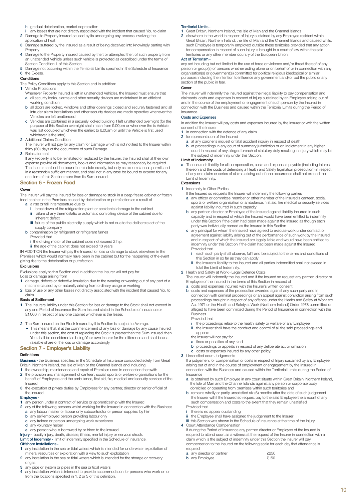**h** gradual deterioration, market depreciation

- any losses that are not directly associated with the incident that caused You to claim
- **2** Damage to Property Insured caused by its undergoing any process involving the application of heat
- **3** Damage suffered by the Insured as a result of being deceived into knowingly parting with **Property**
- **4** Damage to the Property Insured caused by theft or attempted theft of such property from an unattended Vehicle unless such vehicle is protected as described under the terms of Section Condition 1 of this Section
- **5** Damage not occurring within the Territorial Limits specified in the Schedule of Insurance **6** the Excess.

#### **Conditions**

The Policy Conditions apply to this Section and in addition:

**1** Vehicle Protections

- Whenever Property Insured is left in unattended Vehicles, the Insured must ensure that **a** all security locks, alarms and other security devices are maintained in an efficient
- working condition
- **b** all doors are locked, windows and other openings closed and securely fastened and all intruder alarm installations and other security devices are made operative whenever the Vehicles are left unattended
- **c** Vehicles are contained in a securely locked building if left unattended overnight (for the purpose of this Section overnight shall mean from 9.00pm or whenever the is Vehicle was last occupied whichever the earlier; to 6.00am or until the Vehicle is first used whichever is the later).
- **2** Additional Claims Condition
- The Insurer will not pay for any claim for Damage which is not notified to the Insurer within thirty (30) days of the occurrence of such Damage.
- **3** Reinstatement
	- If any Property is to be reinstated or replaced by the Insurer, the Insured shall at their own expense provide all documents, books and information as may reasonably be required. The Insurer shall not be bound to reinstate exactly, but only as circumstances permit, and in a reasonably sufficient manner, and shall not in any case be bound to expend for any one item of this Section more than its Sum Insured.

### **Section 6 - Frozen Food**

#### **Cover**

The Insurer will pay the Insured for loss or damage to stock in a deep freeze cabinet or frozen food cabinet in the Premises caused by deterioration or putrefaction as a result of

- **a** a rise or fall in temperature due to **i** breakdown of the refrigeration plant or accidental damage to the cabinet
	- failure of any thermostatic or automatic controlling device of the cabinet due to inherent defect
	- **iii** failure of the public electricity supply which is not due to the deliberate act of the supply company
- **b** contamination by refrigerant or refrigerant fumes
	- Provided that
	- **i** the driving motor of the cabinet does not exceed 2 h.p.

**ii** the age of the cabinet does not exceed 10 years IN ADDITION the Insurer will pay the Insured for loss or damage to stock elsewhere in the

Premises which would normally have been in the cabinet but for the happening of the event giving rise to the deterioration or putrefaction.

#### **Exclusions**

Exclusions apply to this Section and in addition the Insurer will not pay for

- Loss or damage arising from
- **1** damage, defects or defective insulation due to the wearing or wearing out of any part of a machine caused by or naturally arising from ordinary usage or working
- **2** loss of use or any other losses not directly associated with the incident that caused You to claim

#### **Basis of Settlement**

- **1** The Insurers liability under this Section for loss or damage to the Stock shall not exceed in any one Period of Insurance the Sum Insured stated in the Schedule of Insurance or £1,000 in respect of any one cabinet whichever is the lesser.
- **2** The Sum Insured on the Stock Insured by this Section is subject to Average.
	- This means that, if at the commencement of any loss or damage by any cause Insured under this section, the cost of replacing the Stock is greater than the Sum Insured, then You shall be considered as being Your own insurer for the difference and shall bear a rateable share of the loss or damage accordingly.

### **Section 7 - Employer's Liability**

#### **Definitions**

**Business -** the Business specified in the Schedule of Insurance conducted solely from Great

- Britain, Northern Ireland, the Isle of Man or the Channel Islands and including **1** the ownership, maintenance and repair of Premises used in connection therewith
- **2** the provision and management of canteen, social, sports or welfare organisations for the benefit of Employees and the ambulance, first aid, fire, medical and security services of the Insured
- **3** the execution of private duties by Employees for any partner, director or senior official of the Insured.

#### **Employee -**

- **1** any person under a contract of service or apprenticeship with the Insured
- **2** any of the following persons whilst working for the Insured in connection with the Business **a** any labour master or labour only subcontractor or person supplied by him **b** any self-employed person providing labour only
	- **c** any trainee or person undergoing work experience
	- **d** any voluntary helper
- **e** any person who is borrowed by or hired to the Insured.

**Injury -** bodily injury, death, disease, illness, mental injury or nervous shock. **Limit of Indemnity -** limit of indemnity specified in the Schedule of Insurance.

### **Offshore Installations -**

- **1** any installation in the sea or tidal waters which is intended for underwater exploitation of
- mineral resources or exploration with a view to such exploitation **2** any installation in the sea or tidal waters which is intended for the storage or recovery
- of gas
- **3** any pipe or system or pipes in the sea or tidal waters
- **4** any installation which is intended to provide accommodation for persons who work on or from the locations specified in 1, 2 or 3 of this definition.

#### **Territorial Limits -**

- **1** Great Britain, Northern Ireland, the Isle of Man and the Channel Islands
- **2** elsewhere in the world in respect of Injury sustained by any Employee resident within Great Britain, Northern Ireland, the Isle of Man and the Channel Islands and caused whilst such Employee is temporarily employed outside these territories provided that any action for compensation in respect of such Injury is brought in a court of law within the said territories or any other member country of the European Union.

#### **Act of Terrorism -**

any act including but not limited to the use of force or violence and/or threat thereof of any person or group(s) of persons whether acting alone or on behalf of or in connection with any organisation(s) or government(s) committed for political religious ideological or similar purposes including the intention to influence any government and/or put the public or any section of the public in fear.

#### **Cover**

The Insurer will indemnify the Insured against their legal liability to pay compensation and claimants' costs and expenses in respect of Injury sustained by an Employee arising out of and in the course of the employment or engagement of such person by the Insured in connection with the Business and caused within the Territorial Limits during the Period of Insurance.

### **Costs and Expenses**

In addition the Insurer will pay costs and expenses incurred by the Insurer or with the written consent of the Insurer

- **1** in connection with the defence of any claim **2** for representation of the Insured
	- **a** at any coroner's inquest or fatal accident inquiry in respect of death
	- **b** at proceedings in any court of summary jurisdiction or on indictment in any higher court in respect of any alleged breach of statutory duty resulting in Injury which may be the subject of indemnity under this Section.

#### **Limit of Indemnity**

**a** The Insurer's liability for all compensation, costs and expenses payable (including interest thereon and the costs of defending a Health and Safety legislation prosecution) in respect of any one claim or series of claims arising out of one occurrence shall not exceed the Limit of Indemnity.

#### **Extensions**

- **1** Indemnity to Other Parties
	- If the Insured so requests the Insurer will indemnify the following parties
	- **a** any officer or committee member or other member of the Insured's canteen, social, sports or welfare organisation or ambulance, first aid, fire medical or security services against liability incurred in such capacity
	- **b** any partner, director or Employee of the Insured against liability incurred in such capacity and in respect of which the Insured would have been entitled to indemnity under this Section if the claim had been made against the Insured as though each party was individually named as the Insured in this Section
	- **c** any principal for whom the Insured have agreed to execute work under contract or agreement against liability arising out of the performance of such work by the Insured and in respect of which the Insured are legally liable and would have been entitled to indemnity under this Section if the claim had been made against the Insured Provided that
		- **i** each such party shall observe, fulfil and be subject to the terms and conditions of this Section in so far as they can apply
		- **ii** the Insurer's liability to the Insured and all parties indemnified shall not exceed in total the Limit of Indemnity.
- **2** Health and Safety at Work Legal Defence Costs

The Insurer will indemnify the Insured and if the Insured so request any partner, director or Employee of the Insured in the terms of this Section in respect of

- **a** costs and expenses incurred with the Insurer's written consent
- **b** costs and expenses of the prosecution awarded against any such party and in connection with criminal proceedings or an appeal against conviction arising from such proceedings brought in respect of any offence under the Health and Safety at Work etc. Act 1974 or the Health and Safety at Work (Northern Ireland) Order 1978 committed or alleged to have been committed during the Period of Insurance in connection with the Business

Provided that

- **i** the proceedings relate to the health, safety or welfare of any Employee<br>**ii** the losurer shall have the conduct and control of all the said proceeding
- **ii** the Insurer shall have the conduct and control of all the said proceedings and appeals
- the Insurer will not pay for
- **a** fines or penalties of any kind
- **b** proceedings or appeals in respect of any deliberate act or omission **c** costs or expenses insured by any other policy.
- **3** Unsatisfied court Judgements

If a judgement for compensation or costs in respect of Injury sustained by any Employee arising out of and in the course of employment or engagement by the Insured in connection with the Business and caused within the Territorial Limits during the Period of

- Insurance **a** is obtained by such Employee in any court situate within Great Britain, Northern Ireland, the Isle of Man and the Channel Islands against any person or corporate body
- domiciled or operating from premises within such territories and **b** remains wholly or partly unsatisfied six (6) months after the date of such judgement the Insurer will if the Insured so request pay to the said Employee the amount of any such compensation and costs to the extent that they remain unsatisfied
- Provided that
- there is no appeal outstanding
- the Employee shall have assigned the judgement to the Insurer **iii** this Section was shown in the Schedule of insurance at the time of the Injury.
- **4** Court Attendance Compensation
- If during the Period of Insurance any partner director or Employee of the Insured is required to attend court as a witness at the request of the Insurer in connection with a claim which is the subject of indemnity under this Section the Insurer will pay compensation to the Insured on the following scale for each day that attendance is required

**10**

- **a** any director or partner **EXECO**<br> **b** any Employee **EXECO**
- **b** any Employee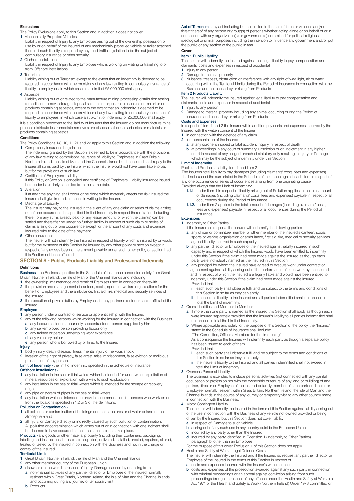#### **Exclusions**

- The Policy Exclusions apply to this Section and in addition it does not cover:
- **1** Mechanically Propelled Vehicles
- Liability in respect of Injury to any Employee arising out of the ownership possession or use by or on behalf of the Insured of any mechanically propelled vehicle or trailer attached thereto if such liability is required by any road traffic legislation to be the subject of compulsory insurance or other security.
- **2** Offshore Installations
- Liability in respect of Injury to any Employee who is working on visiting or travelling to or from Offshore Installations.
- **3** Terrorism
- Liability arising out of Terrorism except to the extent that an indemnity is deemed to be required in accordance with the provisions of any law relating to compulsory insurance of liability to employees, in which case a sub-limit of £5,000,000 shall apply
- **4** Asbestos
- Liability arising out of or related to the manufacture mining processing distribution testing remediation removal storage disposal sale use or exposure to asbestos or materials or products containing asbestos, except to the extent that an indemnity is deemed to be required in accordance with the provisions of any law relating to compulsory insurance of liability to employees, in which case a sub-Limit of Indemnity of £5,000,000 shall apply.

It is a condition precedent to the liability of Insurers that the Insured do not manufacture mine process distribute test remediate remove store dispose sell or use asbestos or materials or products containing asbestos.

#### **Conditions**

The Policy Conditions 1-8, 10, 11, 21 and 22 apply to this Section and in addition the following: **1** Compulsory Insurance Legislation

- The indemnity granted by this Section is deemed to be in accordance with the provisions of any law relating to compulsory insurance of liability to Employees in Great Britain, Northern Ireland, the Isle of Man and the Channel Islands but the Insured shall repay to the Insurer all sums paid by the Insurer which the Insurer would not have been liable to pay but for the provisions of such law.
- **2** Certificate of Employers' Liability

If this Policy or Section is cancelled any certificate of Employers' Liability insurance issued hereunder is similarly cancelled from the same date.

**3** Alteration

If at any time anything shall occur or be done which materially affects the risk insured the Insured shall give immediate notice in writing to the Insurer. **4** Discharge of Liability

The insurer may pay to the Insured in the event of any one claim or series of claims arising out of one occurrence the specified Limit of Indemnity in respect thereof (after deducting there from any sums already paid) or any lesser amount for which the claim(s) can be settled and thereafter be under no further liability in respect of such claim or series of claims arising out of one occurrence except for the amount of any costs and expenses incurred prior to the date of the payment.

- **5** Other Insurances
- The Insurer will not indemnify the Insured in respect of liability which is insured by or would but for the existence of this Section be insured by any other policy or section except in respect of any excess beyond the amount payable under such other policy or section had this Section not been effected

#### **SECTION 8 - Public, Products Liability and Professional Indemnity Definitions**

**Business -** the Business specified in the Schedule of Insurance conducted solely from Great Britain, Northern Ireland, the Isle of Man or the Channel Islands and including

- **1** the ownership, maintenance and repair of Premises used in connection therewith **2** the provision and management of canteen, social, sports or welfare organisations for the
- benefit of Employees and the ambulance, first aid, fire, medical and security services of the Insured
- **3** the execution of private duties by Employees for any partner director or senior official of the Insured.

#### **Employee -**

- **1** any person under a contract of service or apprenticeship with the Insured
- **2** any of the following persons whilst working for the Insured in connection with the Business any labour master or labour only subcontractor or person supplied by him
- **b** any self-employed person providing labour only
- **c** any trainee or person undergoing work experience **d** any voluntary helper
- 
- **e** any person who is borrowed by or hired to the Insurer.

### **Injury -**

**1** bodily injury, death, disease, illness, mental injury or nervous shock

- **2** invasion of the right of privacy, false arrest, false imprisonment, false eviction or malicious prosecution of any person.
- **Limit of Indemnity -** the limit of indemnity specified in the Schedule of Insurance

#### **Offshore Installations -**

- **1** any installation in the sea or tidal waters which is intended for underwater exploitation of mineral resources or exploration with a view to such exploitation
- **2** any installation in the sea or tidal waters which is intended for the storage or recovery
- of gas
- **3** any pipe or system of pipes in the sea or tidal waters
- **4** any installation which is intended to provide accommodation for persons who work on or from the locations specified in 1,2 or 3 of the definitions.

#### **Pollution or Contamination -**

- **1** all pollution or contamination of buildings or other structures or of water or land or the atmosphere and
- **2** all Injury, or Damage directly or indirectly caused by such pollution or contamination. All pollution or contamination which arises out of or in connection with one incident shall be deemed to have occurred at the time such incident takes place.
- **Products -** any goods or other material property (including their containers, packaging, labelling and instructions for use) sold, supplied, delivered, installed, erected, repaired, altered, treated or tested by the Insured in connection with the Business and not in the charge or control of the Insured.

#### **Territorial Limits -**

**11**

**1** Great Britain, Northern Ireland, the Isle of Man and the Channel Islands **2** any other member country of the European Union

- 
- **3** elsewhere in the world in respect of Injury, Damage caused by or arising from
- **a** non-manual activities of any partner, director or Employee of the Insured normally resident within Great Britain, Northern Ireland, the Isle of Man and the Channel Islands and occurring during any journey or temporary visit **b** Products

**Act of Terrorism -** any act including but not limited to the use of force or violence and/or threat thereof of any person or group(s) of persons whether acting alone or on behalf of or in connection with any organization(s) or government(s) committed for political religious ideological or similar purposes including the intention to influence any government and/or put the public or any section of the public in fear.

### **Item 1 Public Liability**

**Cover**

The Insurer will indemnify the Insured against their legal liability to pay compensation and claimants' costs and expenses in respect of accidental

- 1 Injury to any person<br>2 Damage to material
- **2** Damage to material property
- **3** Nuisance, trespass, obstruction or interference with any right of way, light, air or water occurring within the Territorial Limits during the Period of Insurance in connection with the Business and not caused by or rising from Products

#### **Item 2 Products Liability**

The Insurer will indemnify the Insured against legal liability to pay compensation and claimants' costs and expenses in respect of accidental

- **1** Injury to any person<br>**2** Damage to material
- **2** Damage to material property including any animal occurring during the Period of Insurance and caused by or arising from Products

#### **Costs and Expenses**

In respect of Item 1 and 2 the Insurer will in addition pay costs and expenses incurred by the Insured with the written consent of the Insurer

- **1** in connection with the defence of any claim
- **2** for representation of the Insured
- **a** at any coroner's inquest or fatal accident inquiry in respect of death **b** at proceedings in any court of summary jurisdiction or on indictment in any higher
	- court in respect of any alleged breach of statutory duty resulting in Injury or Damage which may be the subject of indemnity under this Section.

#### **Limit of Indemnity**

Public and Products Liability Item 1 and Item 2

The Insurers' total liability to pay damages (including claimants' costs, fees and expenses) shall not exceed the sum stated in the Schedule of Insurance against each Item in respect of any one occurrence or series of occurrences arising from one originating cause Provided always that the Limit of Indemnity:

- **1.1.1.** under Item 1 in respect of liability arising out of Pollution applies to the total amount of damages (including claimants' costs, fees and expenses) payable in respect of all occurrences during the Period of Insurance
- **1.1.2.** under Item 2 applies to the total amount of damages (including claimants' costs, fees and expenses) payable in respect of all occurrences during the Period of Insurance.

### **Extensions**

- **1** Indemnity to Other Parties If the Insured so requests the Insurer will indemnify the following parties
	- **a** any officer or committee member or other member of the Insured's canteen, social, sports or welfare organisation or ambulance, first aid, fire, medical or security services against liability incurred in such capacity
	- **b** any partner, director or Employee of the Insured against liability incurred in such capacity and in respect of which the Insured would have been entitled to indemnity under this Section if the claim had been made against the Insured as though each party were individually named as the Insured in this Section
	- **c** any principal for whom the Insured have agreed to execute work under contract or agreement against liability arising out of the performance of such work by the Insured and in respect of which the Insured are legally liable and would have been entitled to indemnity under this Section if the claim had been made against the Insured Provided that
		- **i** each such party shall observe fulfil and be subject to the terms and conditions of
		- this Section in so far as they can apply **ii** the Insurer's liability to the Insured and all parties indemnified shall not exceed in total the Limit of indemnity.

#### **2** Cross Liabilities and Member to Member

- **a** If more than one party is named as the Insured this Section shall apply as though each were insured separately provided that the Insurer's liability to all parties indemnified shall not exceed in total the Limit of Indemnity.
- **b** Where applicable and solely for the purpose of this Section of the policy, the "Insured" stated in the Schedule of Insurance shall include: "The Committee, Officers, Members for the time being"

As a consequence the Insurers will indemnify each party as though a separate policy has been issued to each of them.

- Provided that
	- **i** each such party shall observe fulfil and be subject to the terms and conditions of this Section in so far as they can apply
	- **ii** the Insurer's liability to the Insured and all parties indemnified shall not exceed in total the Limit of Indemnity.

**3** Overseas Personal Liability

The Business is extended to include personal activities (not connected with any gainful occupation or profession nor with the ownership or tenure of any land or building) of any partner, director or Employee of the Insured or family member of such partner director or Employee normally resident within Great Britain, Northern Ireland, the Isle of Man and the Channel Islands in the course of any journey or temporary visit to any other country made in connection with the Business.

**4** Motor Contingent Liability

The Insurer will indemnify the Insured in the terms of this Section against liability arising out of the use in connection with the Business of any vehicle not owned provided or being driven by the Insured but this Section does not cover liability **a** in respect of Damage to such vehicle

- 
- **b** arising out of any such use in any country outside the European Union
- incurred by any party other than the Insured **d** incurred by any party identified in Extension 1 (Indemnity to Other Parties), paragraph b, other than an Employee
- For the purpose of this cover Exclusion 1 of this Section does not apply.
- **5** Health and Safety at Work Legal Defence Costs The Insurer will indemnify the Insured and if the Insured so request any partner, director or
	- Employee of the Insured in the terms of this Section in respect of **a** costs and expenses incurred with the Insurer's written consent
	-
	- **b** costs and expenses of the prosecution awarded against any such party in connection with criminal proceedings or an appeal against conviction arising from such proceedings brought in respect of any offence under the Health and Safety at Work etc Act 1974 or the Health and Safety at Work (Northern Ireland) Order 1978 committed or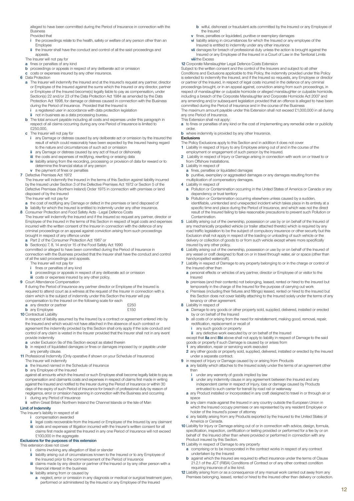alleged to have been committed during the Period of Insurance in connection with the Business Provided that

- **i** the proceedings relate to the health, safety or welfare of any person other than an Employee
- **ii** the Insurer shall have the conduct and control of all the said proceedings and appeals
- The Insurer will not pay for **a** fines or penalties of any kind
- **b** proceedings or appeals in respect of any deliberate act or omission
- **c** costs or expenses insured by any other insurance.
- **6** Data Protection
	- **a** The Insurer will indemnify the Insured and at the Insured's request any partner, director or Employee of the Insured against the sums which the Insured or any director, partner or Employee of the Insured become(s) legally liable to pay as compensation, under Section(s) 22 and/or 23 of the Data Protection Act 1984 as amended by the Data Protection Act 1998, for damage or distress caused in connection with the Business during the Period of Insurance. Provided that the Insured is **in a registered user in accordance with data protection legislation**
	-
	- **ii** not in business as a data processing bureau.
	- **b** The total amount payable including all costs and expenses under this paragraph in respect of all claims occurring during any one Period of Insurance is limited to £250,000.
	- **c** The Insurer will not pay for
		- **i** any Damage or distress caused by any deliberate act or omission by the Insured the result of which could reasonably have been expected by the Insured having regard to the nature and circumstances of such act or omission
		- any Damage or distress caused by any act of fraud or dishonesty
		- **iii** the costs and expenses of rectifying, rewriting or erasing data
		- **iv** liability arising from the recording, processing or provision of data for reward or to determine the financial status of any person
- **v** the payment of fines or penalties **7** Defective Premises Act 1972

The Insurer will indemnify the Insured in the terms of this Section against liability incurred by the Insured under Section 3 of the Defective Premises Act 1972 or Section 5 of the Defective Premises (Northern Ireland) Order 1975 in connection with premises or land disposed of by the Insured

The Insurer will not pay for

- 
- a the cost of rectifying any Damage or defect in the premises or land disposed of<br>b liability for which the Insured is entitled to indemnity under any other insurance.<br>8 Consumer Protection and Food Safety Acts Legal Def
- The Insurer will indemnify the Insured and if the Insured so request any partner, director or Employee of the Insured in the terms of this Section in respect of legal costs and expenses incurred with the written consent of the Insurer in connection with the defence of any criminal proceedings or an appeal against conviction arising from such proceedings brought in respect of any offence under
	- Part 2 of the Consumer Protection Act 1987 or
	-

**b** Section(s) 7, 8, 14 and/or 15 of the Food Safety Act 1990 committed or alleged to have been committed during the Period of Insurance in connection with the Business provided that the Insurer shall have the conduct and control of all the said proceedings and appeals.

- The Insurer will not pay for
- 
- **i** fines or penalties of any kind **ii** proceedings or appeals in respect of any deliberate act or omission
- **iii** costs or expenses insured by any other policy. **9** Court Attendance Compensation

If during the Period of Insurance any partner director or Employee of the Insured is required to attend court as a witness at the request of the Insurer in connection with a claim which is the subject of indemnity under this Section the Insurer will pay compensation to the Insured on the following scale for each

| <b>CONTINUES IN THE REPORT OF A LIGHTER OF A LIGHTER COMPOSITION</b> |      |  |
|----------------------------------------------------------------------|------|--|
| <b>a</b> any director or partner                                     | £250 |  |
| <b>b</b> any Employee                                                | £150 |  |
| <b>10 Contractual Liability</b>                                      |      |  |

- 
- In respect of liability assumed by the Insured by a contract or agreement entered into by the Insured and which would not have attached in the absence of such contract or agreement the indemnity provided by this Section shall only apply if the sole conduct and control of any claim is vested in the Insurer provided that the Insurer shall not in any event provide indemnity
- **a** under Exclusion 9a of this Section except as stated therein
- **b** in respect of liquidated damages or fines or damages imposed by or payable under any penalty clause.
- **11** Professional Indemnity (Only operative if shown on your Schedule of Insurance)
	- The Insurer will indemnify
	- **a** the Insured named in the Schedule of Insurance
	- **b** any Employee of the Insured

against all amounts which the Insured or such Employee shall become legally liable to pay as compensation and claimants costs and expenses in respect of claims first made in writing against the Insured and notified to the Insurer during the Period of Insurance or within 30 days of the expiry of such Period of Insurance for breach of professional duty by reason of negligence, error or omission happening in connection with the Business and occurring **i** during any Period of Insurance

**ii** within Great Britain Northern Ireland the Channel Islands or the Isle of Man

#### **Limit of Indemnity**

- The Insurer's liability in respect of all
	- **i** compensation awarded
	- **ii** legal costs recoverable from the Insured or Employee of the Insured by any claimant iii costs and expenses of litigation incurred with the Insurer's written consent for all<br>claims first made against the Insured in any one Period of Insurance will not exceed
- £100,000 in the aggregate **Exclusions for the purposes of this extension**

#### This extension does not cover

- 
- **i** claims involving any allegation of libel or slander **ii** liability arising out of circumstances known to the Insured or to any Employee of the Insured prior to the commencement of the Period of Insurance
- **iii** claims made by any director or partner of the Insured or by any other person with a financial interest in the business
- **iv** liability arising from or caused by **a** neglect, error or omission in any diagnosis or medical or surgical treatment given, performed or administered by the Insured or any Employee of the Insured
- **b** wilful, dishonest or fraudulent acts committed by the Insured or any Employee of the Insured
- **v** fines, penalties or liquidated, punitive or exemplary damages **vi** liability arising in circumstances for which the Insured or any employee of the
- Insured is entitled to indemnity under any other insurance
- **vii** damages for breach of professional duty unless the action is brought against the Insured or any Employee of the Insured in a Court of Law in the Territorial Limits **viii** the Excess

#### **12** Corporate Manslaughter Legal Defence Costs Extension

Subject to the written consent and the control of the Insurers and subject to all other Conditions and Exclusions applicable to this Policy, the indemnity provided under this Policy is extended to indemnify the Insured, and if the Insured so requests, any Employee or director or partner of the Insured, in respect of legal costs incurred in the defence of any criminal proceedings brought, or in an appeal against, conviction arising from such proceedings, in respect of manslaughter or culpable homicide or alleged manslaughter or culpable homicide, including a breach of the Corporate Manslaughter and Corporate Homicide Act 2007 and any amending and/or subsequent legislation provided that an offence is alleged to have been committed during the Period of Insurance and in the course of the Business The maximum amount payable under this Extension shall not exceed £1,000,000 in all during any one Period of Insurance.

This Extension shall not apply: **a** to fines or penalties of any kind or the cost of implementing any remedial order or publicity

### order.

- **b** where indemnity is provided by any other Insurance. **Exclusions**
- 
- The Policy Exclusions apply to this Section and in addition it does not cover **1** Liability in respect of Injury to any Employee arising out of and in the course of the employment or engagement of such person by the Insured.
- **2** Liability in respect of Injury or Damage arising in connection with work on or travel to or from Offshore Installations.
- **3** Liability in respect of
	- **a** fines, penalties or liquidated damages
	- **b** punitive, exemplary or aggravated damages or any damages resulting from the multiplication of compensatory damages.
- **4** Liability in respect of
	- **a** Pollution or Contamination occurring in the United States of America or Canada or any dependency or trust territory
- **b** Pollution or Contamination occurring elsewhere unless caused by a sudden, identifiable, unintended and unexpected incident which takes place in its entirety at a specific time and place during the Period of Insurance, and which was not the direct result of the Insured failing to take reasonable precautions to prevent such Pollution or Contamination.
- **5** Liability arising out of the ownership, possession or use by or on behalf of the Insured of any mechanically propelled vehicle (or trailer attached thereto) which is required by any road traffic legislation to be the subject of compulsory insurance or other security but this Exclusion shall not apply in respect of the loading or unloading of such vehicle or the delivery or collection of goods to or from such vehicle except where more specifically
- insured by any other policy. **6** Liability arising out of the ownership, possession or use by or on behalf of the Insured of any vessel or craft designed to float on or in travel through water, air or space (other than hand-propelled watercraft).
- **7** Liability in respect of Damage to any property belonging to or in the charge or control of the Insured other than
	- **a** personal effects or vehicles of any partner, director or Employee of or visitor to the **insured**
	- **b** premises (and their contents) not belonging, leased, rented or hired to the Insured but temporarily in the charge of the Insured for the purpose of carrying out work
	- **c** Premises (including their fixtures and fittings) leased, rented or hired to the Insured but this Section does not cover liability attaching to the Insured solely under the terms of any tenancy or other agreement.
- **8** Liability in respect of
	- **a** Damage to any goods or other property sold, supplied, delivered, installed or erected by or on behalf of the Insured
	- **b** all costs of or arising from the need for reinstatement, making good, removal, repair, rectification, replacement or recall of
		- **i** any such goods or property
	-

**ii** any defective work executed by or on behalf of the Insured except that **8a** and **8bi** above shall not apply to liability in respect of Damage to the said goods or property if such Damage is caused by or arises from

- **1** any alteration, repair or servicing work executed
- **2** any other goods or property sold, supplied, delivered, installed or erected by the Insured under a separate contract.
- **9** in respect of Injury or Damage caused by or arising from Products
	- **a** any liability which attaches to the Insured solely under the terms of an agreement other than
		- **i** under any warranty of goods implied by law
		- **ii** under any indemnity clause in any agreement between the Insured and any independent carrier in respect of Injury, loss or damage caused by Products entrusted to such carrier for transit by road rail or waterway
	- **a** any Product installed or incorporated in any craft designed to travel in or through air or space
	- **b** any claim made against the Insured in any country outside the European Union in which the Insured occupy premises or are represented by any resident Employee or holder of the Insured's power of attorney
- **c** any liability arising from any Products exported by the Insured to the United States of America or Canada.
- **10** Liability for Injury or Damage arising out of or in connection with advice, design, formula, specification, inspection, certification or testing provided or performed for a fee by or on behalf of the Insured other than where provided or performed in connection with any Product insured by this Section.
- **11** Liability in respect of Damage to any property
	- **a** comprising or to be incorporated in the contract works in respect of any contract undertaken by the Insured
	- **b** against which the Insured are required to effect insurance under the terms of Clause 21.2.1 of the JCT (RIBA) Conditions of Contract or of any other contract condition requiring insurance of a like kind.
- **12** Liability arising from or as a consequence of any manual work carried out away from any Premises belonging, leased, rented or hired to the Insured other than delivery or collection.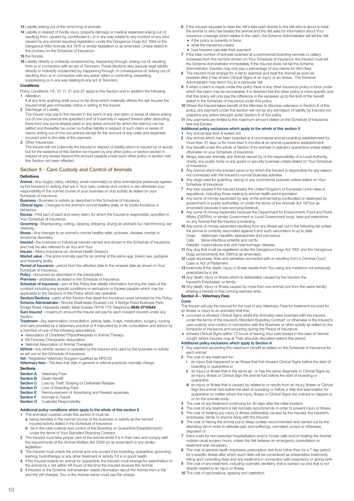**13** Liability arising out of the re-homing of animals.

**14** Liability in respect of bodily injury, property damage or medical expenses arising out of, resulting from, caused by, contributed to, or in any way related to any incident of any kind caused by any animal requiring registration under the Dangerous Dogs Act 1994 or the Dangerous Wild Animals Act 1976 or similar legislation or as amended. Unless stated to the contrary on the Schedule of Insurance.

**15** the Excess.

16 Liability directly or indirectly occasioned by, happening through, arising out of, resulting from or in connection with an act of Terrorism. These Sections also exclude legal liability directly or indirectly occasioned by, happening through, in consequence of, arising out of, resulting from or in connection with any action taken in controlling, preventing, suppressing or in any way relating to any act of Terrorism.

#### **Conditions**

- Policy Conditions 1-8, 10, 11, 21 and 22 apply to this Section and in addition the following: **1** Alteration
- If at any time anything shall occur or be done which materially affects the risk insured the Insured shall give immediate notice in writing to the Insurer.
- **2** Discharge of Liability

The Insurer may pay to the Insured in the event of any one claim or series of claims arising out of one occurrence the specified Limit of Indemnity in respect thereof (after deducting there from any sums already paid) or any lesser amount for which the claim(s) can be settled and thereafter be under no further liability in respect of such claim or series of claims arising out of one occurrence except for the amount of any costs and expenses incurred prior to the date of the payment.

**3** Other Insurances

The Insurer will not indemnify the Insured in respect of liability which is insured by or would but for the existence of this Section be insured by any other policy or section except in respect of any excess beyond the amount payable under such other policy or section had this Section not been effected.

### **Section 9 - Care Custody and Control of Animals**

#### **Definitions**

**Animal -** Any dog(s), cat(s), rabbit(s), small mammal(s) or other animal(s)(as previously agreed by the Insurers) in writing, that are in Your care, custody and control or are otherwise your responsibility in the normal course of your business or club activity as stated on your Schedule of Insurance.

**Business -** Business or activity as described in the Schedule of Insurance.

**Clinical signs -** Changes in the animal's normal healthy state, or its bodily functions or behaviour.

**Excess -** First part of each and every claim, for which the Insured is responsible, specified in Your Schedule of Insurance.

**Grooming -** Shampooing, cutting, clipping, stripping, drying an animal's fur, nail trimming, ear cleaning.

**Illness -** Any changes to an animal's normal healthy state, sickness, disease, mental or emotional disorders.

**Insured -** the business or individual insured named and shown in the Schedule of Insurance and may be also referred to as You and Your.

**Insurer -** Allianz Insurance plc (Animal Health Division)

**Market value -** The price normally paid for an animal of the same age, breed, sex, pedigree and breeding ability.

**Period of Insurance -** period from the effective date to the renewal date as shown in Your Schedule of Insurance

**Policy -** document as described in the Introduction.

**Premises -** address(s) as stated in the Schedule of Insurance.

**Schedule of Insurance -** part of this Policy that details information forming the basis of the contract including any special conditions or exclusions or Excess payable which may be contract including any special conditions or exclusions or Excess payable which may be applicable to the Sections of this Policy which are operative.

**Section/Sections -** parts of this Section that detail the insurance cover provided by this Policy. **Scheme Administrator -** Brooks Braithwaite (Sussex) Ltd, 4 Bridge Road Business Park, Bridge Road, Haywards Heath, West Sussex, RH16 1TX Telephone **0845 0710543 Sum Insured -** maximum amount the Insurer will pay for each incident insured under any Section

**Treatment -** Any examination, consultation, advice, tests, X-rays, medication, surgery, nursing and care provided by a Veterinary practice or if instructed by a Vet, consultation and advice by a member of one of the following associations.

- Association of Chartered Physiotherapists in Animal Therapy
- 

• McTimoney Chiropractic Association • National Association of Animal Therapists

**Vehicle -** any vehicle owned or operated by the Insured and used by the business or activity as set out on the Schedule of Insurance.

**Vet -** Registered Veterinary Surgeon qualified as MRCVS **Veterinary fees -** The fees that Vets in general or referral practices normally charge.

**Sections**<br>Section A

- **Section A** Veterinary Fees<br>**Section B** Death benefit Death benefit
- **Section C** Loss by Theft, Straying or Deliberate Release
- 
- **Section D** Loss of Boarding Fees **Section E** Reimbursement of Advertising and Reward expenses
- **Section F** Animals in Transit<br>**Section G** Custodial Respons
- **Custodial Responsibility**

# **Additional policy conditions which apply to the whole of this section 9 1** The animal(s) covered under this section 9 must be:

- 
- **a** being handled in the normal course of the business or activity as the named insured/activity stated in the Schedule of Insurance
- **b** be in the care custody and control of the Boarding or Quarantine Establishment's under the terms of Your Standard Boarding Contract **2** The Insured must take proper care of the animal whilst it is in their care and comply with
- the requirements of the Animal Welfare Act 2006 (or as amended) or any similar legislation.
- **3** The Insured must check the animal and only accept it for boarding, quarantine, grooming, training, hydrotherapy or any other treatment or activity if it is in good health.
- **4** If the Insured boards an animal for quarantine, the Insured must arrange for examination of the animal by a Vet within 48 hours of the time the Insured receives the Animal.
- **5** If Insurers or the Scheme Administrator needs information about the Animal from a Vet and the Vet charges, You or the Animal owner must pay the charge.
- **6** If the Insured requests to have the Vet's fees paid directly to the Vet who is about to treat the animal or who has treated the animal and the Vet asks for information about Your insurance coverage which relates to the claim, the Scheme Administrator will tell the Vet: • if the policy is currently in force.
	- what the insurance covers.
	- how Insurers calculate their payment
- **7** If the total number of animals boarded at a commercial boarding kennels or cattery increases from the number shown on Your Schedule of Insurance, the Insured must tell the Scheme Administrator immediately. If the Insured does not tell the Scheme Administrator, Insurers may only pay a percentage of any claims for Vet's fees.
- **8** The Insured must arrange for a Vet to examine and treat the Animal as soon as possible after it has shown Clinical Signs of an injury or an Illness. The Scheme Administrator may direct You to a particular Vet.
- **9** If when a claim is made under this policy there is any other insurance policy in force under which the claim may be recoverable, it is deemed that the other policy is more specific and that this policy will only pay the difference in the excesses up to the limit of the benefit stated in the Schedule of Insurance under this policy.
- **10** Where the Insured takes benefit of the Member to Member extension in Section 8 of this policy, any payment under this section will not be any admission of liability by Insurers nor prejudice any action brought under Section 8 of this policy.
- **11** Any payments are limited to the maximum amount stated on the Schedule of Insurance less any Excess.

## **Additional policy exclusions which apply to the whole of this section 9**

- **1** Any animal less than 8 weeks old.
- **2** Any animal which has been boarded at a commercial animal boarding establishment for
- more than 31 days or for more than 6 months at an animal quarantine establishment.<br>**3** Any benefit under the whole of Section 9 for animals in statutory quarantine unless stated otherwise on your Schedule of Insurance.
- **4** Strays, rescued Animals, any Animal owned by or the responsibility of a Local Authority, charity, any public body or any guard or security business unless stated on Your Schedule of Insurance.
- **5** Any Animal which the Insured owns or for which the Insured is responsible for any reason not connected with the Insured's normal Business activities.
- **6** Any dogs used for guarding, racing or any commercial purpose unless stated on Your Schedule of Insurance.
- **7** Any loss caused if the Insured breaks the United Kingdom or European Union laws or regulations, including those relating to animal health and importation
- **8** Any sums of money expended by way of the animal being confiscated or destroyed by government or public authorities, or under the terms of the Animals Act 1971(or as
- amended) because it was worrying livestock. **9** Any sums of money expended because the Department for Environment, Food and Rural Affairs (DEFRA), or similar Government or Local Government body, have put restrictions on any Animal that the Insured is boarding.
- **10** Any sums of money expended resulting from any Illness set out in the following list unless the animal is currently vaccinated against it and such vaccination is up to date.<br>Dogs: distemper, hepatitis, leptospirosis and parvovirus. distemper, hepatitis, leptospirosis and parvovirus. feline infectious enteritis and cat flu.
	-
- Rabbits: myxomatosis and viral haemorrhagic disease. **11** Any dog that must be registered under the Dangerous Dogs Act 1991 and the Dangerous Dogs (amendment) Act 1997(or as amended).
- **12** Legal expenses, fines and penalties connected with or resulting from a Criminal Court Case or Act of Parliament.
- **13** Indemnity if the death, injury or Illness results from You using any medicine not previously prescribed by a Vet.
- **14** Any death, injury or Illness which is deliberately caused by the Insured, the Insured's Employees' or family.
- **15** Any death, injury or Illness caused by more than one animal (not from the same family) sharing a kennel or free running exercise area.

### **Section A – Veterinary Fees**

#### **Cover**

The Insurer will pay the Insured for the cost of any Veterinary Fees for treatment incurred for an Illness or injury to an animal(s) that first:

- occurred or showed Clinical Signs whilst the Animal(s) were boarded with the Insured under the terms of the Insured's Standard Boarding Contract or otherwise in the Insured's care custody and control, in connection with the Business or other activity as stated on the Schedule of Insurance and occurring during the Period of Insurance.
- showed Clinical Signs within 72 hours of leaving Your care except in the case of 'kennel cough' where Insurers may at Their absolute discretion extend this period.
- **Additional policy exclusions which apply to Section A**
- **1** Any payment exceeding the maximum benefit as stated on the Schedule of Insurance for each animal.
- **2** The cost of any treatment for:
	- **i** an injury that happened or an Illness that first showed Clinical Signs before the start of boarding or quarantine or
	- **ii** an injury or Illness that is the same as , or has the same diagnosis or Clinical Signs as an injury, Illness or Clinical Sign the animal had before the start of boarding or quarantine
	- **iii** an injury or Illness that is caused by, relates to or results from an injury, Illness or Clinical Sign the animal had before the start of boarding or before a Vets first examination for quarantine no matter where the injury, Illness or Clinical Signs are noticed or happen in, or on the animals body.
- **3** The cost of any treatment continuing for 30 days after the initial incident.
- **4** The cost of any treatment a Vet normally recommends in order to prevent injury or Illness. **5** The cost of treating any injury or Illness deliberately caused by the Insured, the Insured's
- employees, family or anyone living with the Insured.
- **6** The cost of having the animal put to sleep (unless recommended and carried out by the attending Vet in order to alleviate pain and suffering), cremated, buried or otherwise disposed of.
- **7** Extra costs for non essential hospitalisation and/or house calls and/or treating the Animal outside usual surgery hours, unless the Vet believes an emergency consultation or treatment was necessary.
- **8** The cost of general health improvers, prescription diet food (other than for a 7 day period for a specific illness after which such diets will be considered as preventative treatment), killing and controlling fleas and any treatment in connection with pregnancy or giving birth.
- The cost of any treatment, including cosmetic dentistry, that is carried out and that is not directly related to an injury or Illness.
- **10** The cost of vaccinations, spaying and castration.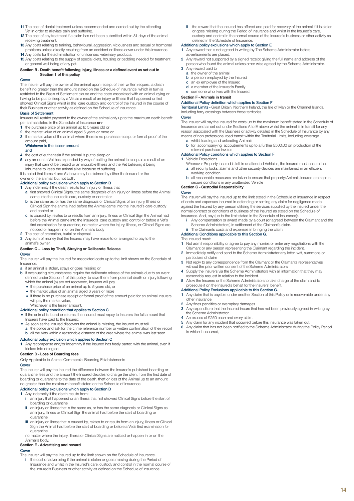- **11** The cost of dental treatment unless recommended and carried out by the attending Vet in order to alleviate pain and suffering.
- **12** The cost of any treatment if a claim has not been submitted within 31 days of the animal receiving treatment.
- **13** Any costs relating to training, behavioural, aggression, viciousness and sexual or hormonal problems unless directly resulting from an accident or illness cover under this insurance. **14** Any costs for the administration of unlicensed veterinary products.
- **15** Any costs relating to the supply of special diets, housing or bedding needed for treatment or general well being of any pet.

#### **Section B - Death benefit following Injury, Illness or a defined event as set out in Section 1 of this policy**

#### **Cover**

The Insurer will pay the owner of the animal upon receipt of their written request, a death benefit no greater than the amount stated on the Schedule of Insurance, which in turn is restricted to the Basis of Settlement clause and the costs associated with an animal dying or having to be put to sleep by a Vet as a result of an injury or Illness that happened or first showed Clinical Signs whilst in the care custody and control of the Insured in the course of their Business or other activity as defined on the Schedule of Insurance.

#### **Basis of Settlement**

Insurers will restrict payment to the owner of the animal only up to the maximum death benefit per animal stated in the Schedule of Insurance **or:-**

- **1** the purchase price of an animal up to 5 years old or
- **2** the market value of an animal aged 6 years or more or
- **3** the market value of the animal where there is no purchase receipt or formal proof of the amount paid,

#### **Whichever is the lesser amount and**

- **4** the cost of euthanasia if the animal is put to sleep or **5** any amount a Vet has expended by way of putting the **5** any amount a Vet has expended by way of putting the animal to sleep as a result of an injury that cannot be treated or an incurable Illness and the Vet believing it being inhumane to keep the animal alive because of suffering
- It is noted that Items 4 and 5 above may be claimed by either the Insured or the

### owner of the animal, but not both.

### **Additional policy exclusions which apply to Section B**

- 
- **1** Any indemnity if the death results from injury or Illness that **a** first showed Clinical Signs, the same diagnosis of an injury or Illness before the Animal came into the Insured's care, custody or control or
	- **b** is the same as, or has the same diagnosis or Clinical Signs of an injury, Illness or Clinical Sign the animal had before the Animal came into the Insured's care custody and control or
	- **c** is caused by, relates to or results from an injury, Illness or Clinical Sign the Animal had before the Animal came into the Insured's care custody and control or before a Vet's first examination for quarantine, no matter where the injury, Illness, or Clinical Signs are noticed or happen in or on the Animal's body
- **2** The cost of cremation, burial or disposal
- **3** Any sum of money that the Insured may have made to or arranged to pay to the animal's owner.

#### **Section C – Loss by Theft, Straying or Deliberate Release**

### **Cover**

The Insurer will pay the Insured for associated costs up to the limit shown on the Schedule of Insurance.

- **a** if an animal is stolen, strays or goes missing or
- **b** if extenuating circumstances require the deliberate release of the animals due to an event defined under Section 1 of this policy to save them from potential death or injury following which the animal (s) are not recovered, Insurers will pay
	- the purchase price of an animal up to 5 years old, or
	- the market value of an animal aged 6 years or more
	- if there is no purchase receipt or formal proof of the amount paid for an animal Insurers will pay the market value,

## Whichever is the lesser amount.

- **Additional policy condition that applies to Section C** If the animal is found or returns, the Insured must repay to Insurers the full amount that Insurers have paid to the Insured.
- As soon as the Insured discovers the animal is missing, the Insured must tell
- **a** the police and ask for the crime reference number or written confirmation of their report **b** all the Vets within a reasonable distance of the area where the animal was last seen

#### **Additional policy exclusion which applies to Section C**

**1** Any recompense and/or indemnity if the Insured has freely parted with the animal, even if tricked into doing so

#### **Section D - Loss of Boarding fees**

Only Applicable to Animal Commercial Boarding Establishments

### **Cover**

The Insurer will pay the Insured the difference between the Insured's published boarding or quarantine fees and the amount the Insured decides to charge the client from the first date of boarding or quarantine to the date of the death, theft or loss of the Animal up to an amount no greater than the maximum benefit stated on the Schedule of Insurance.

### **Additional policy exclusions which apply to Section D**

- **1** Any indemnity if the death results from **i** an injury that happened or an Illnes **i** an injury that happened or an Illness that first showed Clinical Signs before the start of boarding or quarantine
- **ii** an injury or Illness that is the same as, or has the same diagnosis or Clinical Signs as an injury, Illness or Clinical Sign the animal had before the start of boarding or quarantine
- **iii** an injury or Illness that is caused by, relates to or results from an injury, Illness or Clinical Sign the Animal had before the start of boarding or before a Vet's first examination for quarantine
- no matter where the injury, Illness or Clinical Signs are noticed or happen in or on the Animal's body.

### **Section E - Advertising and reward**

### **Cover**

The Insurer will pay the Insured up to the limit shown on the Schedule of Insurance. **i** the cost of advertising if the animal is stolen or goes missing during the Period of Insurance and whilst in the Insured's care, custody and control in the normal course of the Insured's Business or other activity as defined on the Schedule of Insurance.

the reward that the Insured has offered and paid for recovery of the animal if it is stolen or goes missing during the Period of Insurance and whilst in the Insured's care, custody and control in the normal course of the Insured's business or other activity as defined in the Schedule of Insurance.

### **Additional policy exclusions which apply to Section E**

- **1** Any reward that is not agreed in writing by The Scheme Administrator before advertisements are placed.
- **2** Any reward not supported by a signed receipt giving the full name and address of the person who found the animal unless other wise agreed by the Scheme Administrator.
- **3** Any reward paid to
	- **a** the owner of the animal
	- **b** a person employed by the Insured **c** an ex employee of the Insured
	- **d** a member of the Insured's Family
	- **e** someone who lives with the Insured.

### **Section F - Animals in transit**

#### **Additional Policy definition which applies to Section F**

**Territorial Limits -** Great Britain, Northern Ireland, the Isle of Man or the Channel Islands, including ferry crossings between these territories.

#### **Cover**

The Insurer will pay the Insured for costs up to the maximum benefit stated in the Schedule of Insurance and as set out under Sections A to E above whilst the animal is in transit for any reason associated with the Business or activity detailed in the Schedule of Insurance by any means of non professional road transit within the Territorial Limits, including coverage **a** whilst loading and unloading Animals

**b** for accompanying accoutrements up to a further £500.00 on production of the relevant purchase invoice

#### **Additional Policy conditions which applies to Section F**

#### **1** Vehicle Protections

- 
- Whenever Property Insured is left in unattended Vehicles, the Insured must ensure that **a** all security locks, alarms and other security devices are maintained in an efficient working condition
- **b** all reasonable measures are taken to ensure that property/Animals insured are kept in secure conditions in any unattended Vehicle **Section G - Custodial Responsibility**

### **Cover**

The Insurer will pay the Insured up to the limit stated in the Schedule of Insurance in respect of costs and expenses incurred in defending or settling any claim for negligence made against the Insured by any person utilising the services supplied by the Insured under the normal contract or conditions of business of the Insured as stated on the Schedule of Insurance. And, pay (up to the limit stated in the Schedule of Insurance):

- **i** Any compensation or award made by a court (or agreed between the Claimant and the Scheme Administrators) in settlement of the Claimant's claim.
- 

# **ii** The Claimants costs and expenses in bringing the claim. **Additional Conditions applicable to this Section G.**

The Insured must:

- **1** Not admit responsibility or agree to pay any monies or enter any negotiations with the
- Claimant or any person representing the Claimant regarding the incident. **2** Immediately notify and send to the Scheme Administrator any letter, writ, summons or particulars of claim
- **3** Not reply to any correspondence from the Claimant or the Claimants representatives without the prior written consent of the Scheme Administrators.
- **4** Supply the Insurers via the Scheme Administrators with all information that they may reasonably request in relation to the incident.
- **5** Allow the Insurers or the Scheme Administrators to take charge of the claim and to prosecute it on the Insured's behalf for the Insurers' benefit.

#### **Additional Policy Exclusions applicable to this Section G.**

- **1** Any claim that is payable under another Section of this Policy or is recoverable under any other insurance.
- 2 Any fines penalties or exemplary damages<br>**3** Any expenditure that the Insured incurs that
- **3** Any expenditure that the Insured incurs that has not been previously agreed in writing by the Scheme Administrator.
- **4** An excess of £250 each and every claim.<br>**5** Any claim for any incident that occurred b
- **5** Any claim for any incident that occurred before this Insurance was taken out.
- **6** Any claim that has not been notified to the Scheme Administrator during the Policy Period in which it occurred,